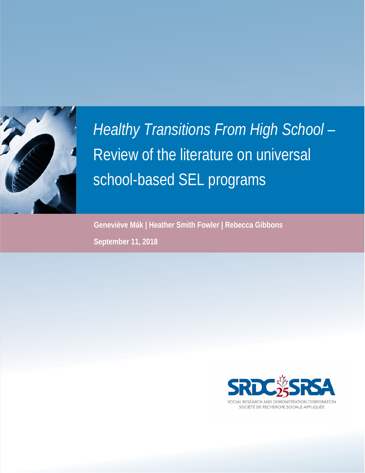

# *Healthy Transitions From High School* – Review of the literature on universal school-based SEL programs

**Geneviève Mák | Heather Smith Fowler | Rebecca Gibbons September 11, 2018**



SOCIAL RESEARCH AND DEMONSTRATION CORPORATION SOCIÉTÉ DE RECHERCHE SOCIALE APPLIQUÉE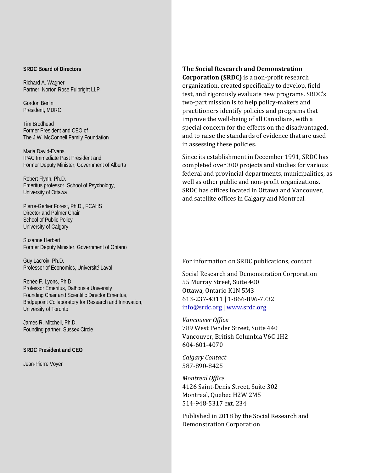#### **SRDC Board of Directors**

Richard A. Wagner Partner, Norton Rose Fulbright LLP

Gordon Berlin President, MDRC

Tim Brodhead Former President and CEO of The J.W. McConnell Family Foundation

Maria David-Evans IPAC Immediate Past President and Former Deputy Minister, Government of Alberta

Robert Flynn, Ph.D. Emeritus professor, School of Psychology, University of Ottawa

Pierre-Gerlier Forest, Ph.D., FCAHS Director and Palmer Chair School of Public Policy University of Calgary

Suzanne Herbert Former Deputy Minister, Government of Ontario

Guy Lacroix, Ph.D. Professor of Economics, Université Laval

Renée F. Lyons, Ph.D. Professor Emeritus, Dalhousie University Founding Chair and Scientific Director Emeritus, Bridgepoint Collaboratory for Research and Innovation, University of Toronto

James R. Mitchell, Ph.D. Founding partner, Sussex Circle

#### **SRDC President and CEO**

Jean-Pierre Voyer

**The Social Research and Demonstration Corporation (SRDC)** is a non-profit research organization, created specifically to develop, field test, and rigorously evaluate new programs. SRDC's two-part mission is to help policy-makers and practitioners identify policies and programs that improve the well-being of all Canadians, with a special concern for the effects on the disadvantaged, and to raise the standards of evidence that are used in assessing these policies.

Since its establishment in December 1991, SRDC has completed over 300 projects and studies for various federal and provincial departments, municipalities, as well as other public and non-profit organizations. SRDC has offices located in Ottawa and Vancouver, and satellite offices in Calgary and Montreal.

For information on SRDC publications, contact

Social Research and Demonstration Corporation 55 Murray Street, Suite 400 Ottawa, Ontario K1N 5M3 613-237-4311 | 1-866-896-7732 [info@srdc.org](mailto:info@srdc.org) | www.srdc.org

*Vancouver Office* 789 West Pender Street, Suite 440 Vancouver, British Columbia V6C 1H2 604-601-4070

*Calgary Contact* 587-890-8425

*Montreal Office* 4126 Saint-Denis Street, Suite 302 Montreal, Quebec H2W 2M5 514-948-5317 ext. 234

Published in 2018 by the Social Research and Demonstration Corporation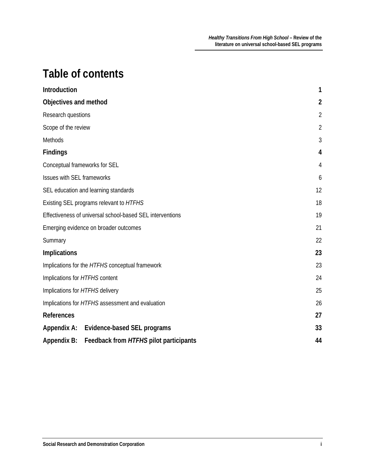# **Table of contents**

| Introduction                                                 | $\mathbf{1}$   |
|--------------------------------------------------------------|----------------|
| Objectives and method                                        | $\overline{2}$ |
| Research questions                                           | $\overline{2}$ |
| Scope of the review                                          | $\overline{2}$ |
| Methods                                                      | 3              |
| <b>Findings</b>                                              | 4              |
| Conceptual frameworks for SEL                                | 4              |
| Issues with SEL frameworks                                   | 6              |
| SEL education and learning standards                         | 12             |
| Existing SEL programs relevant to HTFHS                      | 18             |
| Effectiveness of universal school-based SEL interventions    | 19             |
| Emerging evidence on broader outcomes                        | 21             |
| Summary                                                      | 22             |
| <b>Implications</b>                                          | 23             |
| Implications for the HTFHS conceptual framework              | 23             |
| Implications for HTFHS content                               | 24             |
| Implications for HTFHS delivery                              | 25             |
| Implications for HTFHS assessment and evaluation             | 26             |
| <b>References</b>                                            | 27             |
| Appendix A: Evidence-based SEL programs                      | 33             |
| Feedback from HTFHS pilot participants<br><b>Appendix B:</b> | 44             |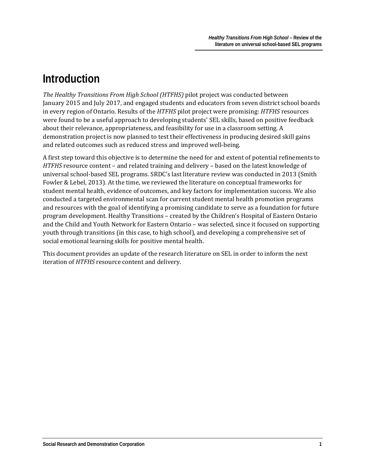# <span id="page-3-0"></span>**Introduction**

*The Healthy Transitions From High School (HTFHS)* pilot project was conducted between January 2015 and July 2017, and engaged students and educators from seven district school boards in every region of Ontario. Results of the *HTFHS* pilot project were promising: *HTFHS* resources were found to be a useful approach to developing students' SEL skills, based on positive feedback about their relevance, appropriateness, and feasibility for use in a classroom setting. A demonstration project is now planned to test their effectiveness in producing desired skill gains and related outcomes such as reduced stress and improved well-being.

A first step toward this objective is to determine the need for and extent of potential refinements to *HTFHS* resource content – and related training and delivery – based on the latest knowledge of universal school-based SEL programs. SRDC's last literature review was conducted in 2013 (Smith Fowler & Lebel, 2013). At the time, we reviewed the literature on conceptual frameworks for student mental health, evidence of outcomes, and key factors for implementation success. We also conducted a targeted environmental scan for current student mental health promotion programs and resources with the goal of identifying a promising candidate to serve as a foundation for future program development. Healthy Transitions – created by the Children's Hospital of Eastern Ontario and the Child and Youth Network for Eastern Ontario – was selected, since it focused on supporting youth through transitions (in this case, to high school), and developing a comprehensive set of social emotional learning skills for positive mental health.

This document provides an update of the research literature on SEL in order to inform the next iteration of *HTFHS* resource content and delivery.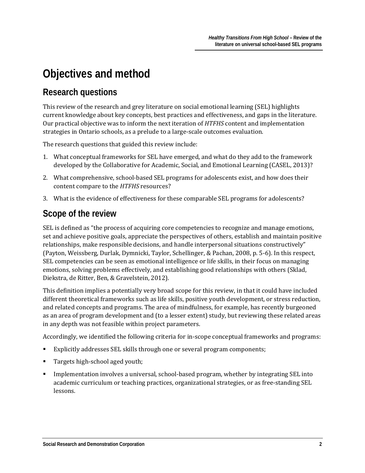# <span id="page-4-0"></span>**Objectives and method**

### <span id="page-4-1"></span>**Research questions**

This review of the research and grey literature on social emotional learning (SEL) highlights current knowledge about key concepts, best practices and effectiveness, and gaps in the literature. Our practical objective was to inform the next iteration of *HTFHS* content and implementation strategies in Ontario schools, as a prelude to a large-scale outcomes evaluation.

The research questions that guided this review include:

- 1. What conceptual frameworks for SEL have emerged, and what do they add to the framework developed by the Collaborative for Academic, Social, and Emotional Learning (CASEL, 2013)?
- 2. What comprehensive, school-based SEL programs for adolescents exist, and how does their content compare to the *HTFHS* resources?
- 3. What is the evidence of effectiveness for these comparable SEL programs for adolescents?

### <span id="page-4-2"></span>**Scope of the review**

SEL is defined as "the process of acquiring core competencies to recognize and manage emotions, set and achieve positive goals, appreciate the perspectives of others, establish and maintain positive relationships, make responsible decisions, and handle interpersonal situations constructively" (Payton, Weissberg, Durlak, Dymnicki, Taylor, Schellinger, & Pachan, 2008, p. 5-6). In this respect, SEL competencies can be seen as emotional intelligence or life skills, in their focus on managing emotions, solving problems effectively, and establishing good relationships with others (Sklad, Diekstra, de Ritter, Ben, & Gravelstein, 2012).

This definition implies a potentially very broad scope for this review, in that it could have included different theoretical frameworks such as life skills, positive youth development, or stress reduction, and related concepts and programs. The area of mindfulness, for example, has recently burgeoned as an area of program development and (to a lesser extent) study, but reviewing these related areas in any depth was not feasible within project parameters.

Accordingly, we identified the following criteria for in-scope conceptual frameworks and programs:

- Explicitly addresses SEL skills through one or several program components;
- Targets high-school aged youth;
- Implementation involves a universal, school-based program, whether by integrating SEL into academic curriculum or teaching practices, organizational strategies, or as free-standing SEL lessons.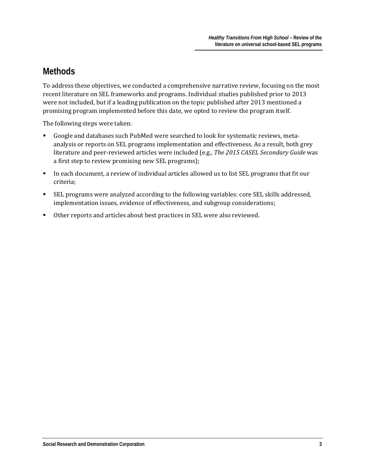## <span id="page-5-0"></span>**Methods**

To address these objectives, we conducted a comprehensive narrative review, focusing on the most recent literature on SEL frameworks and programs. Individual studies published prior to 2013 were not included, but if a leading publication on the topic published after 2013 mentioned a promising program implemented before this date, we opted to review the program itself.

The following steps were taken:

- Google and databases such PubMed were searched to look for systematic reviews, metaanalysis or reports on SEL programs implementation and effectiveness. As a result, both grey literature and peer-reviewed articles were included (e.g., *The 2015 CASEL Secondary Guide* was a first step to review promising new SEL programs);
- In each document, a review of individual articles allowed us to list SEL programs that fit our criteria;
- SEL programs were analyzed according to the following variables: core SEL skills addressed, implementation issues, evidence of effectiveness, and subgroup considerations;
- Other reports and articles about best practices in SEL were also reviewed.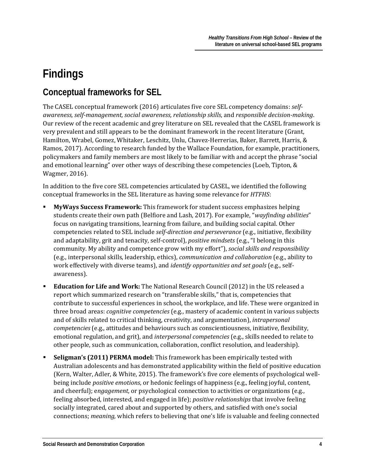# <span id="page-6-0"></span>**Findings**

# <span id="page-6-1"></span>**Conceptual frameworks for SEL**

The CASEL conceptual framework (2016) articulates five core SEL competency domains: *selfawareness, self-management, social awareness, relationship skills*, and *responsible decision-making*. Our review of the recent academic and grey literature on SEL revealed that the CASEL framework is very prevalent and still appears to be the dominant framework in the recent literature (Grant, Hamilton, Wrabel, Gomez, Whitaker, Leschitz, Unlu, Chavez-Herrerias, Baker, Barrett, Harris, & Ramos, 2017). According to research funded by the Wallace Foundation, for example, practitioners, policymakers and family members are most likely to be familiar with and accept the phrase "social and emotional learning" over other ways of describing these competencies (Loeb, Tipton, & Wagmer, 2016).

In addition to the five core SEL competencies articulated by CASEL, we identified the following conceptual frameworks in the SEL literature as having some relevance for *HTFHS*:

- **MyWays Success Framework:** This framework for student success emphasizes helping students create their own path (Belfiore and Lash, 2017). For example, "*wayfinding abilities*" focus on navigating transitions, learning from failure, and building social capital. Other competencies related to SEL include *self-direction and perseverance* (e.g., initiative, flexibility and adaptability, grit and tenacity, self-control), *positive mindsets* (e.g., "I belong in this community. My ability and competence grow with my effort"), *social skills and responsibility* (e.g., interpersonal skills, leadership, ethics), *communication and collaboration* (e.g., ability to work effectively with diverse teams), and *identify opportunities and set goals* (e.g., selfawareness).
- **Education for Life and Work:** The National Research Council (2012) in the US released a report which summarized research on "transferable skills," that is, competencies that contribute to successful experiences in school, the workplace, and life. These were organized in three broad areas: *cognitive competencies* (e.g., mastery of academic content in various subjects and of skills related to critical thinking, creativity, and argumentation), *intrapersonal competencies* (e.g., attitudes and behaviours such as conscientiousness, initiative, flexibility, emotional regulation, and grit), and *interpersonal competencies* (e.g., skills needed to relate to other people, such as communication, collaboration, conflict resolution, and leadership).
- **Seligman's (2011) PERMA model:** This framework has been empirically tested with Australian adolescents and has demonstrated applicability within the field of positive education (Kern, Walter, Adler, & White, 2015). The framework's five core elements of psychological wellbeing include *positive emotions*, or hedonic feelings of happiness (e.g., feeling joyful, content, and cheerful); e*ngagement*, or psychological connection to activities or organizations (e.g., feeling absorbed, interested, and engaged in life); *positive relationships* that involve feeling socially integrated, cared about and supported by others, and satisfied with one's social connections; *meaning,* which refers to believing that one's life is valuable and feeling connected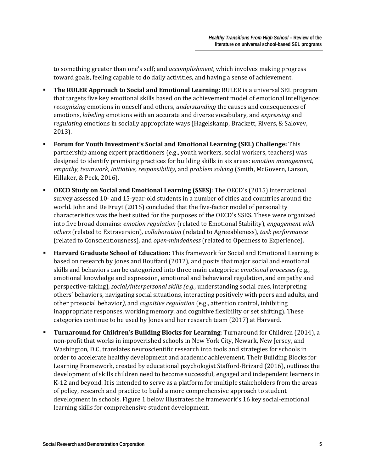to something greater than one's self; and *accomplishment,* which involves making progress toward goals, feeling capable to do daily activities, and having a sense of achievement.

- **The RULER Approach to Social and Emotional Learning:** RULER is a universal SEL program that targets five key emotional skills based on the achievement model of emotional intelligence: *recognizing* emotions in oneself and others, *understanding* the causes and consequences of emotions, *labeling* emotions with an accurate and diverse vocabulary, and *expressing* and *regulating* emotions in socially appropriate ways (Hagelskamp, Brackett, Rivers, & Salovev, 2013).
- **Forum for Youth Investment's Social and Emotional Learning (SEL) Challenge:** This partnership among expert practitioners (e.g., youth workers, social workers, teachers) was designed to identify promising practices for building skills in six areas: e*motion management, empathy, teamwork, initiative, responsibility*, and *problem solving* (Smith, McGovern, Larson, Hillaker, & Peck, 2016).
- **OECD Study on Social and Emotional Learning (SSES)**: The OECD's (2015) international survey assessed 10- and 15-year-old students in a number of cities and countries around the world. John and De Fruyt (2015) concluded that the five-factor model of personality characteristics was the best suited for the purposes of the OECD's SSES. These were organized into five broad domains: *emotion regulation* (related to Emotional Stability)*, engagement with others* (related to Extraversion)*, collaboration* (related to Agreeableness)*, task performance* (related to Conscientiousness)*,* and *open-mindedness* (related to Openness to Experience).
- **Harvard Graduate School of Education:** This framework for Social and Emotional Learning is based on research by Jones and Bouffard (2012), and posits that major social and emotional skills and behaviors can be categorized into three main categories: *emotional processes* (e.g., emotional knowledge and expression, emotional and behavioral regulation, and empathy and perspective-taking)*, social/interpersonal skills (e.g.,* understanding social cues, interpreting others' behaviors, navigating social situations, interacting positively with peers and adults, and other prosocial behavior*),* and *cognitive regulation* (e.g., attention control, inhibiting inappropriate responses, working memory, and cognitive flexibility or set shifting). These categories continue to be used by Jones and her research team (2017) at Harvard.
- **Turnaround for Children's Building Blocks for Learning**: Turnaround for Children (2014), a non-profit that works in impoverished schools in New York City, Newark, New Jersey, and Washington, D.C, translates neuroscientific research into tools and strategies for schools in order to accelerate healthy development and academic achievement. Their Building Blocks for Learning Framework, created by educational psychologist Stafford-Brizard (2016), outlines the development of skills children need to become successful, engaged and independent learners in K-12 and beyond. It is intended to serve as a platform for multiple stakeholders from the areas of policy, research and practice to build a more comprehensive approach to student development in schools. Figure 1 below illustrates the framework's 16 key social-emotional learning skills for comprehensive student development.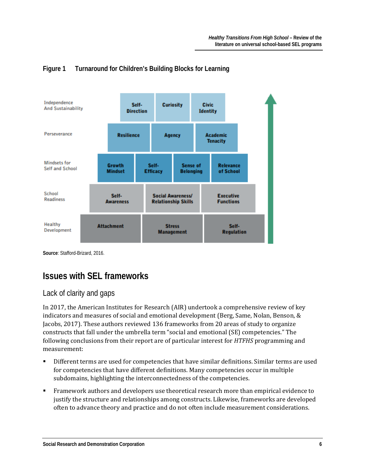

#### **Figure 1 Turnaround for Children's Building Blocks for Learning**

**Source**: Stafford-Brizard, 2016.

## <span id="page-8-0"></span>**Issues with SEL frameworks**

#### Lack of clarity and gaps

In 2017, the American Institutes for Research (AIR) undertook a comprehensive review of key indicators and measures of social and emotional development (Berg, Same, Nolan, Benson, & Jacobs, 2017). These authors reviewed 136 frameworks from 20 areas of study to organize constructs that fall under the umbrella term "social and emotional (SE) competencies." The following conclusions from their report are of particular interest for *HTFHS* programming and measurement:

- Different terms are used for competencies that have similar definitions. Similar terms are used for competencies that have different definitions. Many competencies occur in multiple subdomains, highlighting the interconnectedness of the competencies.
- Framework authors and developers use theoretical research more than empirical evidence to justify the structure and relationships among constructs. Likewise, frameworks are developed often to advance theory and practice and do not often include measurement considerations.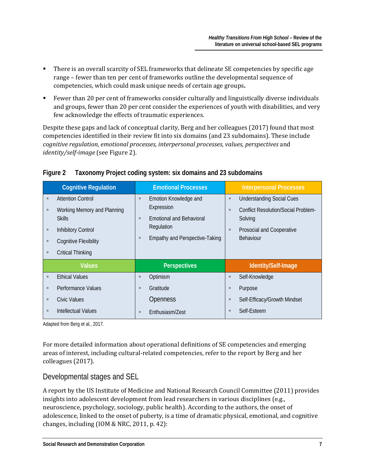- There is an overall scarcity of SEL frameworks that delineate SE competencies by specific age range – fewer than ten per cent of frameworks outline the developmental sequence of competencies, which could mask unique needs of certain age groups**.**
- Fewer than 20 per cent of frameworks consider culturally and linguistically diverse individuals and groups, fewer than 20 per cent consider the experiences of youth with disabilities, and very few acknowledge the effects of traumatic experiences.

Despite these gaps and lack of conceptual clarity, Berg and her colleagues (2017) found that most competencies identified in their review fit into six domains (and 23 subdomains). These include *cognitive regulation, emotional processes, interpersonal processes, values, perspectives* and *identity/self-image* (see Figure 2).

|                  | <b>Cognitive Regulation</b>                                                                                                           |             | <b>Emotional Processes</b>                                                                                                    |             | <b>Interpersonal Processes</b>                                                                                                      |
|------------------|---------------------------------------------------------------------------------------------------------------------------------------|-------------|-------------------------------------------------------------------------------------------------------------------------------|-------------|-------------------------------------------------------------------------------------------------------------------------------------|
| ٠<br>ш<br>ш<br>ш | <b>Attention Control</b><br>Working Memory and Planning<br><b>Skills</b><br><b>Inhibitory Control</b><br><b>Cognitive Flexibility</b> | ш<br>ш<br>ш | Emotion Knowledge and<br>Expression<br><b>Emotional and Behavioral</b><br>Regulation<br><b>Empathy and Perspective-Taking</b> | ш<br>ш<br>ш | <b>Understanding Social Cues</b><br><b>Conflict Resolution/Social Problem-</b><br>Solving<br>Prosocial and Cooperative<br>Behaviour |
| ш                | <b>Critical Thinking</b>                                                                                                              |             |                                                                                                                               |             |                                                                                                                                     |
|                  | <b>Values</b>                                                                                                                         |             | <b>Perspectives</b>                                                                                                           |             | Identity/Self-Image                                                                                                                 |
| ٠                | <b>Ethical Values</b>                                                                                                                 | ш           | Optimism                                                                                                                      | ш           | Self-Knowledge                                                                                                                      |
| $\blacksquare$   | Performance Values                                                                                                                    | ш           | Gratitude                                                                                                                     | ш           | Purpose                                                                                                                             |
| $\blacksquare$   | Civic Values                                                                                                                          |             | <b>Openness</b>                                                                                                               | п           | Self-Efficacy/Growth Mindset                                                                                                        |
| ш                | Intellectual Values                                                                                                                   | ш           | Enthusiasm/Zest                                                                                                               |             | Self-Esteem                                                                                                                         |

#### **Figure 2 Taxonomy Project coding system: six domains and 23 subdomains**

Adapted from Berg et al., 2017.

For more detailed information about operational definitions of SE competencies and emerging areas of interest, including cultural-related competencies, refer to the report by Berg and her colleagues (2017).

#### Developmental stages and SEL

A report by the US Institute of Medicine and National Research Council Committee (2011) provides insights into adolescent development from lead researchers in various disciplines (e.g., neuroscience, psychology, sociology, public health). According to the authors, the onset of adolescence, linked to the onset of puberty, is a time of dramatic physical, emotional, and cognitive changes, including (IOM & NRC, 2011, p. 42):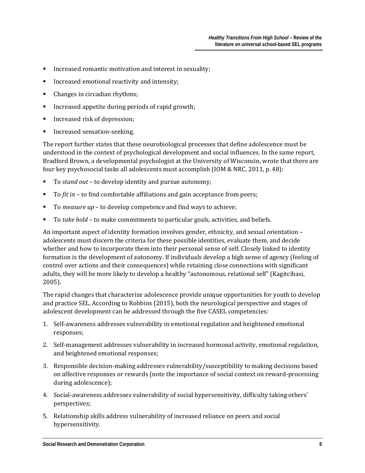- Increased romantic motivation and interest in sexuality;
- Increased emotional reactivity and intensity;
- Changes in circadian rhythms;
- Increased appetite during periods of rapid growth;
- Increased risk of depression;
- Increased sensation-seeking.

The report further states that these neurobiological processes that define adolescence must be understood in the context of psychological development and social influences. In the same report, Bradford Brown, a developmental psychologist at the University of Wisconsin, wrote that there are four key psychosocial tasks all adolescents must accomplish (IOM & NRC, 2011, p. 48):

- To *stand out* to develop identity and pursue autonomy;
- To *fit in*  to find comfortable affiliations and gain acceptance from peers;
- To *measure up* to develop competence and find ways to achieve;
- To *take hold* to make commitments to particular goals, activities, and beliefs.

An important aspect of identity formation involves gender, ethnicity, and sexual orientation – adolescents must discern the criteria for these possible identities, evaluate them, and decide whether and how to incorporate them into their personal sense of self. Closely linked to identity formation is the development of autonomy. If individuals develop a high sense of agency (feeling of control over actions and their consequences) while retaining close connections with significant adults, they will be more likely to develop a healthy "autonomous, relational self" (Kagitcibasi, 2005).

The rapid changes that characterize adolescence provide unique opportunities for youth to develop and practice SEL. According to Robbins (2015), both the neurological perspective and stages of adolescent development can be addressed through the five CASEL competencies:

- 1. Self-awareness addresses vulnerability in emotional regulation and heightened emotional responses;
- 2. Self-management addresses vulnerability in increased hormonal activity, emotional regulation, and heightened emotional responses;
- 3. Responsible decision-making addresses vulnerability/susceptibility to making decisions based on affective responses or rewards (note the importance of social context on reward-processing during adolescence);
- 4. Social-awareness addresses vulnerability of social hypersensitivity, difficulty taking others' perspectives;
- 5. Relationship skills address vulnerability of increased reliance on peers and social hypersensitivity.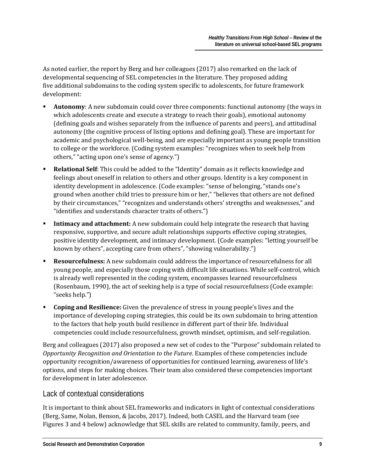As noted earlier, the report by Berg and her colleagues (2017) also remarked on the lack of developmental sequencing of SEL competencies in the literature. They proposed adding five additional subdomains to the coding system specific to adolescents, for future framework development:

- **Autonomy**: A new subdomain could cover three components: functional autonomy (the ways in which adolescents create and execute a strategy to reach their goals), emotional autonomy (defining goals and wishes separately from the influence of parents and peers), and attitudinal autonomy (the cognitive process of listing options and defining goal). These are important for academic and psychological well-being, and are especially important as young people transition to college or the workforce. (Coding system examples: "recognizes when to seek help from others," "acting upon one's sense of agency.")
- **Relational Self**: This could be added to the "Identity" domain as it reflects knowledge and feelings about oneself in relation to others and other groups. Identity is a key component in identity development in adolescence. (Code examples: "sense of belonging, "stands one's ground when another child tries to pressure him or her," "believes that others are not defined by their circumstances," "recognizes and understands others' strengths and weaknesses," and "identifies and understands character traits of others.")
- **Intimacy and attachment:** A new subdomain could help integrate the research that having responsive, supportive, and secure adult relationships supports effective coping strategies, positive identity development, and intimacy development. (Code examples: "letting yourself be known by others", accepting care from others", "showing vulnerability.")
- **Resourcefulness:** A new subdomain could address the importance of resourcefulness for all young people, and especially those coping with difficult life situations. While self-control, which is already well represented in the coding system, encompasses learned resourcefulness (Rosenbaum, 1990), the act of seeking help is a type of social resourcefulness (Code example: "seeks help.")
- **Coping and Resilience:** Given the prevalence of stress in young people's lives and the importance of developing coping strategies, this could be its own subdomain to bring attention to the factors that help youth build resilience in different part of their life. Individual competencies could include resourcefulness, growth mindset, optimism, and self-regulation.

Berg and colleagues (2017) also proposed a new set of codes to the "Purpose" subdomain related to *Opportunity Recognition and Orientation to the Future*. Examples of these competencies include opportunity recognition/awareness of opportunities for continued learning, awareness of life's options, and steps for making choices. Their team also considered these competencies important for development in later adolescence.

#### Lack of contextual considerations

It is important to think about SEL frameworks and indicators in light of contextual considerations (Berg, Same, Nolan, Benson, & Jacobs, 2017). Indeed, both CASEL and the Harvard team (see Figures 3 and 4 below) acknowledge that SEL skills are related to community, family, peers, and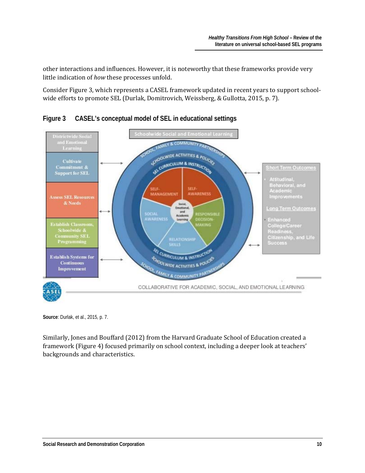other interactions and influences. However, it is noteworthy that these frameworks provide very little indication of *how* these processes unfold.

Consider Figure 3, which represents a CASEL framework updated in recent years to support schoolwide efforts to promote SEL (Durlak, Domitrovich, Weissberg, & Gullotta, 2015, p. 7).



**Figure 3 CASEL's conceptual model of SEL in educational settings**

**Source**: Durlak, et al., 2015, p. 7.

Similarly, Jones and Bouffard (2012) from the Harvard Graduate School of Education created a framework (Figure 4) focused primarily on school context, including a deeper look at teachers' backgrounds and characteristics.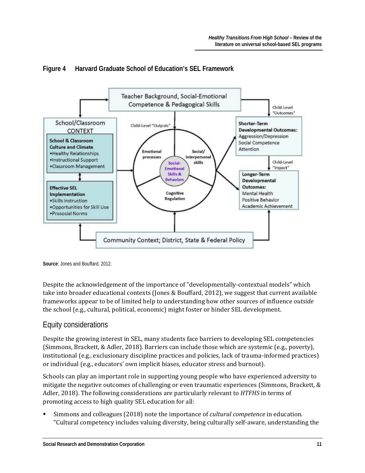

#### **Figure 4 Harvard Graduate School of Education's SEL Framework**

**Source**: Jones and Bouffard, 2012.

Despite the acknowledgement of the importance of "developmentally-contextual models" which take into broader educational contexts (Jones & Bouffard, 2012), we suggest that current available frameworks appear to be of limited help to understanding how other sources of influence *outside* the school (e.g., cultural, political, economic) might foster or hinder SEL development.

#### Equity considerations

Despite the growing interest in SEL, many students face barriers to developing SEL competencies (Simmons, Brackett, & Adler, 2018). Barriers can include those which are systemic (e.g., poverty), institutional (e.g., exclusionary discipline practices and policies, lack of trauma-informed practices) or individual (e.g., educators' own implicit biases, educator stress and burnout).

Schools can play an important role in supporting young people who have experienced adversity to mitigate the negative outcomes of challenging or even traumatic experiences (Simmons, Brackett, & Adler, 2018). The following considerations are particularly relevant to *HTFHS* in terms of promoting access to high quality SEL education for all:

 Simmons and colleagues (2018) note the importance of *cultural competence* in education. "Cultural competency includes valuing diversity, being culturally self-aware, understanding the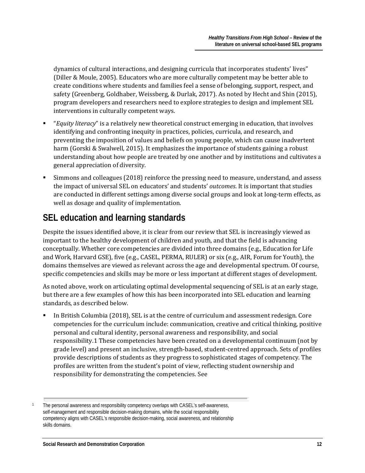dynamics of cultural interactions, and designing curricula that incorporates students' lives" (Diller & Moule, 2005). Educators who are more culturally competent may be better able to create conditions where students and families feel a sense of belonging, support, respect, and safety (Greenberg, Goldhaber, Weissberg, & Durlak, 2017). As noted by Hecht and Shin (2015), program developers and researchers need to explore strategies to design and implement SEL interventions in culturally competent ways.

- "*Equity literacy*" is a relatively new theoretical construct emerging in education, that involves identifying and confronting inequity in practices, policies, curricula, and research, and preventing the imposition of values and beliefs on young people, which can cause inadvertent harm (Gorski & Swalwell, 2015). It emphasizes the importance of students gaining a robust understanding about how people are treated by one another and by institutions and cultivates a general appreciation of diversity.
- Simmons and colleagues (2018) reinforce the pressing need to measure, understand, and assess the impact of universal SEL on educators' and students' *outcomes*. It is important that studies are conducted in different settings among diverse social groups and look at long-term effects, as well as dosage and quality of implementation.

## <span id="page-14-0"></span>**SEL education and learning standards**

Despite the issues identified above, it is clear from our review that SEL is increasingly viewed as important to the healthy development of children and youth, and that the field is advancing conceptually. Whether core competencies are divided into three domains (e.g., Education for Life and Work, Harvard GSE), five (e.g., CASEL, PERMA, RULER) or six (e.g., AIR, Forum for Youth), the domains themselves are viewed as relevant across the age and developmental spectrum. Of course, specific competencies and skills may be more or less important at different stages of development.

As noted above, work on articulating optimal developmental sequencing of SEL is at an early stage, but there are a few examples of how this has been incorporated into SEL education and learning standards, as described below.

 In British Columbia (2018), SEL is at the centre of curriculum and assessment redesign. Core competencies [fo](#page-14-1)r the curriculum include: communication, creative and critical thinking, positive personal and cultural identity, personal awareness and responsibility, and social responsibility.1 These competencies have been created on a developmental continuum (not by grade level) and present an inclusive, strength-based, student-centred approach. Sets of profiles provide descriptions of students as they progress to sophisticated stages of competency. The profiles are written from the student's point of view, reflecting student ownership and responsibility for demonstrating the competencies. See

<span id="page-14-1"></span>The personal awareness and responsibility competency overlaps with CASEL's self-awareness, self-management and responsible decision-making domains, while the social responsibility competency aligns with CASEL's responsible decision-making, social awareness, and relationship skills domains.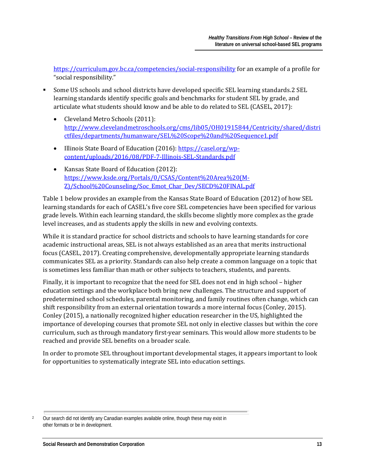<https://curriculum.gov.bc.ca/competencies/social-responsibility> for an example of a profile for "social responsibility."

- Some US schools and school districts have developed specific SEL learning standards.[2](#page-15-0) SEL learning standards identify specific goals and benchmarks for student SEL by grade, and articulate what students should know and be able to do related to SEL (CASEL, 2017):
	- Cleveland Metro Schools (2011): [http://www.clevelandmetroschools.org/cms/lib05/OH01915844/Centricity/shared/distri](http://www.clevelandmetroschools.org/cms/lib05/OH01915844/Centricity/shared/districtfiles/departments/humanware/SEL%20Scope%20and%20Sequence1.pdf) [ctfiles/departments/humanware/SEL%20Scope%20and%20Sequence1.pdf](http://www.clevelandmetroschools.org/cms/lib05/OH01915844/Centricity/shared/districtfiles/departments/humanware/SEL%20Scope%20and%20Sequence1.pdf)
	- Illinois State Board of Education (2016): [https://casel.org/wp](https://casel.org/wp-content/uploads/2016/08/PDF-7-Illinois-SEL-Standards.pdf)[content/uploads/2016/08/PDF-7-Illinois-SEL-Standards.pdf](https://casel.org/wp-content/uploads/2016/08/PDF-7-Illinois-SEL-Standards.pdf)
	- Kansas State Board of Education (2012): [https://www.ksde.org/Portals/0/CSAS/Content%20Area%20\(M-](https://www.ksde.org/Portals/0/CSAS/Content%20Area%20(M-Z)/School%20Counseling/Soc_Emot_Char_Dev/SECD%20FINAL.pdf)[Z\)/School%20Counseling/Soc\\_Emot\\_Char\\_Dev/SECD%20FINAL.pdf](https://www.ksde.org/Portals/0/CSAS/Content%20Area%20(M-Z)/School%20Counseling/Soc_Emot_Char_Dev/SECD%20FINAL.pdf)

Table 1 below provides an example from the Kansas State Board of Education (2012) of how SEL learning standards for each of CASEL's five core SEL competencies have been specified for various grade levels. Within each learning standard, the skills become slightly more complex as the grade level increases, and as students apply the skills in new and evolving contexts.

While it is standard practice for school districts and schools to have learning standards for core academic instructional areas, SEL is not always established as an area that merits instructional focus (CASEL, 2017). Creating comprehensive, developmentally appropriate learning standards communicates SEL as a priority. Standards can also help create a common language on a topic that is sometimes less familiar than math or other subjects to teachers, students, and parents.

Finally, it is important to recognize that the need for SEL does not end in high school – higher education settings and the workplace both bring new challenges. The structure and support of predetermined school schedules, parental monitoring, and family routines often change, which can shift responsibility from an external orientation towards a more internal focus (Conley, 2015). Conley (2015), a nationally recognized higher education researcher in the US, highlighted the importance of developing courses that promote SEL not only in elective classes but within the core curriculum, such as through mandatory first-year seminars. This would allow more students to be reached and provide SEL benefits on a broader scale.

In order to promote SEL throughout important developmental stages, it appears important to look for opportunities to systematically integrate SEL into education settings.

<span id="page-15-0"></span><sup>2</sup> Our search did not identify any Canadian examples available online, though these may exist in other formats or be in development.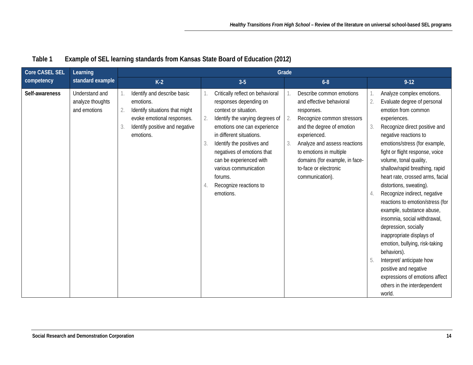| <b>Core CASEL SEL</b><br>Learning |                                                    |                                                                                                                                                                     |                                                                                                                                                                                                                                                                                                                                                                       |                                                                                                                                                                                                                                                                                                    |                                                                                                                                                                                                                                                                                                                                                                                                                                                                                                                                                                                                                                                                                                                                                    |
|-----------------------------------|----------------------------------------------------|---------------------------------------------------------------------------------------------------------------------------------------------------------------------|-----------------------------------------------------------------------------------------------------------------------------------------------------------------------------------------------------------------------------------------------------------------------------------------------------------------------------------------------------------------------|----------------------------------------------------------------------------------------------------------------------------------------------------------------------------------------------------------------------------------------------------------------------------------------------------|----------------------------------------------------------------------------------------------------------------------------------------------------------------------------------------------------------------------------------------------------------------------------------------------------------------------------------------------------------------------------------------------------------------------------------------------------------------------------------------------------------------------------------------------------------------------------------------------------------------------------------------------------------------------------------------------------------------------------------------------------|
| competency                        | standard example                                   | $K-2$                                                                                                                                                               | $3-5$                                                                                                                                                                                                                                                                                                                                                                 | $6 - 8$                                                                                                                                                                                                                                                                                            | $9 - 12$                                                                                                                                                                                                                                                                                                                                                                                                                                                                                                                                                                                                                                                                                                                                           |
| Self-awareness                    | Understand and<br>analyze thoughts<br>and emotions | Identify and describe basic<br>emotions.<br>Identify situations that might<br>2.<br>evoke emotional responses.<br>Identify positive and negative<br>3.<br>emotions. | Critically reflect on behavioral<br>responses depending on<br>context or situation.<br>Identify the varying degrees of<br>2.<br>emotions one can experience<br>in different situations.<br>Identify the positives and<br>3.<br>negatives of emotions that<br>can be experienced with<br>various communication<br>forums.<br>Recognize reactions to<br>4.<br>emotions. | Describe common emotions<br>and effective behavioral<br>responses.<br>Recognize common stressors<br>2.<br>and the degree of emotion<br>experienced.<br>Analyze and assess reactions<br>3.<br>to emotions in multiple<br>domains (for example, in face-<br>to-face or electronic<br>communication). | Analyze complex emotions.<br>Evaluate degree of personal<br>2.<br>emotion from common<br>experiences.<br>3.<br>Recognize direct positive and<br>negative reactions to<br>emotions/stress (for example,<br>fight or flight response, voice<br>volume, tonal quality,<br>shallow/rapid breathing, rapid<br>heart rate, crossed arms, facial<br>distortions, sweating).<br>Recognize indirect, negative<br>reactions to emotion/stress (for<br>example, substance abuse,<br>insomnia, social withdrawal,<br>depression, socially<br>inappropriate displays of<br>emotion, bullying, risk-taking<br>behaviors).<br>Interpret/ anticipate how<br>5<br>positive and negative<br>expressions of emotions affect<br>others in the interdependent<br>world. |

#### **Table 1 Example of SEL learning standards from Kansas State Board of Education (2012)**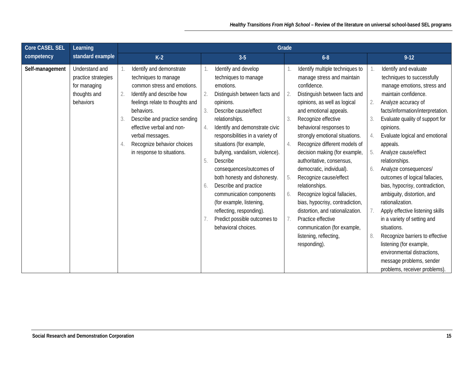| Core CASEL SEL<br>Learning                                                                            |                                                                                                                                                                                                                                                                                                                         |                                                                                                                                                                                                                                                                                                                                                                                                                                                                                                                                                                   | Grade                                                                                                                                                                                                                                                                                                                                                                                                                                                                                                                                                                                                                                                                        |                                                                                                                                                                                                                                                                                                                                                                                                                                                                                                                                                                                                                                                                                                                                          |
|-------------------------------------------------------------------------------------------------------|-------------------------------------------------------------------------------------------------------------------------------------------------------------------------------------------------------------------------------------------------------------------------------------------------------------------------|-------------------------------------------------------------------------------------------------------------------------------------------------------------------------------------------------------------------------------------------------------------------------------------------------------------------------------------------------------------------------------------------------------------------------------------------------------------------------------------------------------------------------------------------------------------------|------------------------------------------------------------------------------------------------------------------------------------------------------------------------------------------------------------------------------------------------------------------------------------------------------------------------------------------------------------------------------------------------------------------------------------------------------------------------------------------------------------------------------------------------------------------------------------------------------------------------------------------------------------------------------|------------------------------------------------------------------------------------------------------------------------------------------------------------------------------------------------------------------------------------------------------------------------------------------------------------------------------------------------------------------------------------------------------------------------------------------------------------------------------------------------------------------------------------------------------------------------------------------------------------------------------------------------------------------------------------------------------------------------------------------|
| standard example<br>competency                                                                        | $K-2$                                                                                                                                                                                                                                                                                                                   | $3-5$                                                                                                                                                                                                                                                                                                                                                                                                                                                                                                                                                             | $6 - 8$                                                                                                                                                                                                                                                                                                                                                                                                                                                                                                                                                                                                                                                                      | $9 - 12$                                                                                                                                                                                                                                                                                                                                                                                                                                                                                                                                                                                                                                                                                                                                 |
| Self-management<br>Understand and<br>practice strategies<br>for managing<br>thoughts and<br>behaviors | Identify and demonstrate<br>techniques to manage<br>common stress and emotions.<br>Identify and describe how<br>2.<br>feelings relate to thoughts and<br>behaviors.<br>Describe and practice sending<br>effective verbal and non-<br>verbal messages.<br>Recognize behavior choices<br>4.<br>in response to situations. | Identify and develop<br>techniques to manage<br>emotions.<br>Distinguish between facts and<br>2.<br>opinions.<br>Describe cause/effect<br>3.<br>relationships.<br>Identify and demonstrate civic<br>4.<br>responsibilities in a variety of<br>situations (for example,<br>bullying, vandalism, violence).<br>5.<br>Describe<br>consequences/outcomes of<br>both honesty and dishonesty.<br>Describe and practice<br>6.<br>communication components<br>(for example, listening,<br>reflecting, responding).<br>Predict possible outcomes to<br>behavioral choices. | Identify multiple techniques to<br>manage stress and maintain<br>confidence.<br>Distinguish between facts and<br>2.<br>opinions, as well as logical<br>and emotional appeals.<br>Recognize effective<br>3.<br>behavioral responses to<br>strongly emotional situations.<br>Recognize different models of<br>4.<br>decision making (for example,<br>authoritative, consensus,<br>democratic, individual).<br>Recognize cause/effect<br>5.<br>relationships.<br>Recognize logical fallacies,<br>6.<br>bias, hypocrisy, contradiction,<br>distortion, and rationalization.<br>Practice effective<br>7.<br>communication (for example,<br>listening, reflecting,<br>responding). | Identify and evaluate<br>techniques to successfully<br>manage emotions, stress and<br>maintain confidence.<br>2.<br>Analyze accuracy of<br>facts/information/interpretation.<br>Evaluate quality of support for<br>opinions.<br>Evaluate logical and emotional<br>4.<br>appeals.<br>Analyze cause/effect<br>5.<br>relationships.<br>Analyze consequences/<br>6.<br>outcomes of logical fallacies,<br>bias, hypocrisy, contradiction,<br>ambiguity, distortion, and<br>rationalization.<br>Apply effective listening skills<br>in a variety of setting and<br>situations.<br>Recognize barriers to effective<br>8.<br>listening (for example,<br>environmental distractions,<br>message problems, sender<br>problems, receiver problems). |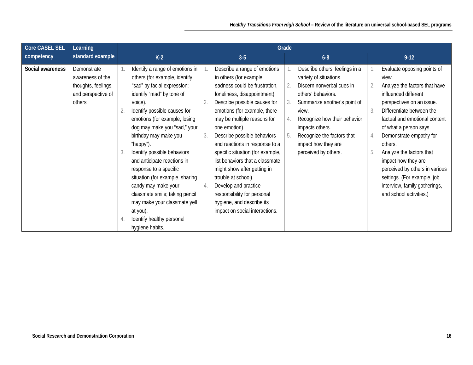| Core CASEL SEL<br>Learning |                                                                                        |                                                                                                                                                                                                                                                                                                                                                                                                                                                                                                                                                                | Grade                                                                                                                                                                                                                                                                                                                                                                                                                                                                                                                                                                                                                                                                                                                                                                                                                                                                        |                                                                                                                                                                                                                                                                                                                                                                                                                                                                  |  |  |  |  |
|----------------------------|----------------------------------------------------------------------------------------|----------------------------------------------------------------------------------------------------------------------------------------------------------------------------------------------------------------------------------------------------------------------------------------------------------------------------------------------------------------------------------------------------------------------------------------------------------------------------------------------------------------------------------------------------------------|------------------------------------------------------------------------------------------------------------------------------------------------------------------------------------------------------------------------------------------------------------------------------------------------------------------------------------------------------------------------------------------------------------------------------------------------------------------------------------------------------------------------------------------------------------------------------------------------------------------------------------------------------------------------------------------------------------------------------------------------------------------------------------------------------------------------------------------------------------------------------|------------------------------------------------------------------------------------------------------------------------------------------------------------------------------------------------------------------------------------------------------------------------------------------------------------------------------------------------------------------------------------------------------------------------------------------------------------------|--|--|--|--|
| competency                 | standard example                                                                       | $K-2$                                                                                                                                                                                                                                                                                                                                                                                                                                                                                                                                                          | $6 - 8$<br>$3-5$                                                                                                                                                                                                                                                                                                                                                                                                                                                                                                                                                                                                                                                                                                                                                                                                                                                             | $9-12$                                                                                                                                                                                                                                                                                                                                                                                                                                                           |  |  |  |  |
| Social awareness           | Demonstrate<br>awareness of the<br>thoughts, feelings,<br>and perspective of<br>others | Identify a range of emotions in<br>others (for example, identify<br>"sad" by facial expression;<br>identify "mad" by tone of<br>voice).<br>Identify possible causes for<br>emotions (for example, losing<br>dog may make you "sad," your<br>birthday may make you<br>"happy").<br>Identify possible behaviors<br>and anticipate reactions in<br>response to a specific<br>situation (for example, sharing<br>candy may make your<br>classmate smile; taking pencil<br>may make your classmate yell<br>at you).<br>Identify healthy personal<br>hygiene habits. | Describe a range of emotions<br>Describe others' feelings in a<br>in others (for example,<br>variety of situations.<br>sadness could be frustration,<br>Discern nonverbal cues in<br>loneliness, disappointment).<br>others' behaviors.<br>Describe possible causes for<br>Summarize another's point of<br>3.<br>emotions (for example, there<br>view.<br>may be multiple reasons for<br>Recognize how their behavior<br>one emotion).<br>impacts others.<br>Describe possible behaviors<br>Recognize the factors that<br>3.<br>5.<br>and reactions in response to a<br>impact how they are<br>specific situation (for example,<br>perceived by others.<br>list behaviors that a classmate<br>might show after getting in<br>trouble at school).<br>Develop and practice<br>4.<br>responsibility for personal<br>hygiene, and describe its<br>impact on social interactions. | Evaluate opposing points of<br>view.<br>Analyze the factors that have<br>2.<br>influenced different<br>perspectives on an issue.<br>Differentiate between the<br>3.<br>factual and emotional content<br>of what a person says.<br>Demonstrate empathy for<br>4.<br>others.<br>Analyze the factors that<br>5.<br>impact how they are<br>perceived by others in various<br>settings. (For example, job<br>interview, family gatherings,<br>and school activities.) |  |  |  |  |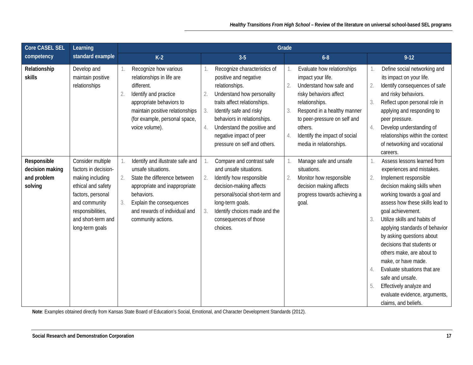| <b>Core CASEL SEL</b>                                    | Learning                                                                                                                                                                                |                                                                                                                                                                                                                                | Grade                                                                                                                                                                                                                                                                                                                                                                                                                                                                                                                                                                                        |                                                                                                                                                                                                                                                                                                                                                                                                                                                                                                                                                         |
|----------------------------------------------------------|-----------------------------------------------------------------------------------------------------------------------------------------------------------------------------------------|--------------------------------------------------------------------------------------------------------------------------------------------------------------------------------------------------------------------------------|----------------------------------------------------------------------------------------------------------------------------------------------------------------------------------------------------------------------------------------------------------------------------------------------------------------------------------------------------------------------------------------------------------------------------------------------------------------------------------------------------------------------------------------------------------------------------------------------|---------------------------------------------------------------------------------------------------------------------------------------------------------------------------------------------------------------------------------------------------------------------------------------------------------------------------------------------------------------------------------------------------------------------------------------------------------------------------------------------------------------------------------------------------------|
| competency                                               | standard example                                                                                                                                                                        | $K-2$                                                                                                                                                                                                                          | $3-5$<br>$6 - 8$                                                                                                                                                                                                                                                                                                                                                                                                                                                                                                                                                                             | $9-12$                                                                                                                                                                                                                                                                                                                                                                                                                                                                                                                                                  |
| Relationship<br>skills                                   | Develop and<br>maintain positive<br>relationships                                                                                                                                       | Recognize how various<br>relationships in life are<br>different.<br>Identify and practice<br>$\overline{2}$<br>appropriate behaviors to<br>maintain positive relationships<br>(for example, personal space,<br>voice volume).  | Recognize characteristics of<br>Evaluate how relationships<br>positive and negative<br>impact your life.<br>Understand how safe and<br>relationships.<br>2.<br>Understand how personality<br>risky behaviors affect<br>2.<br>traits affect relationships.<br>relationships.<br>Identify safe and risky<br>Respond in a healthy manner<br>3<br>3.<br>behaviors in relationships.<br>to peer-pressure on self and<br>Understand the positive and<br>others.<br>4.<br>Identify the impact of social<br>negative impact of peer<br>4.<br>pressure on self and others.<br>media in relationships. | Define social networking and<br>its impact on your life.<br>Identify consequences of safe<br>and risky behaviors.<br>Reflect upon personal role in<br>3.<br>applying and responding to<br>peer pressure.<br>Develop understanding of<br>4.<br>relationships within the context<br>of networking and vocational<br>careers.                                                                                                                                                                                                                              |
| Responsible<br>decision making<br>and problem<br>solving | Consider multiple<br>factors in decision-<br>making including<br>ethical and safety<br>factors, personal<br>and community<br>responsibilities,<br>and short-term and<br>long-term goals | Identify and illustrate safe and<br>unsafe situations.<br>State the difference between<br>2.<br>appropriate and inappropriate<br>behaviors.<br>Explain the consequences<br>and rewards of individual and<br>community actions. | Manage safe and unsafe<br>Compare and contrast safe<br>and unsafe situations.<br>situations.<br>Identify how responsible<br>Monitor how responsible<br>2.<br>2.<br>decision-making affects<br>decision making affects<br>personal/social short-term and<br>progress towards achieving a<br>long-term goals.<br>goal.<br>Identify choices made and the<br>3.<br>consequences of those<br>choices.                                                                                                                                                                                             | Assess lessons learned from<br>experiences and mistakes.<br>Implement responsible<br>2.<br>decision making skills when<br>working towards a goal and<br>assess how these skills lead to<br>goal achievement.<br>Utilize skills and habits of<br>3.<br>applying standards of behavior<br>by asking questions about<br>decisions that students or<br>others make, are about to<br>make, or have made.<br>Evaluate situations that are<br>4.<br>safe and unsafe.<br>Effectively analyze and<br>5.<br>evaluate evidence, arguments,<br>claims, and beliefs. |

**Note**: Examples obtained directly from Kansas State Board of Education's Social, Emotional, and Character Development Standards (2012).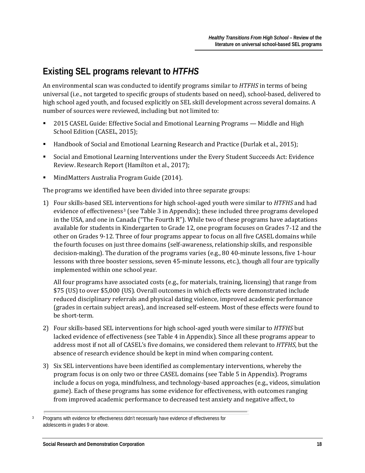# <span id="page-20-0"></span>**Existing SEL programs relevant to** *HTFHS*

An environmental scan was conducted to identify programs similar to *HTFHS* in terms of being universal (i.e., not targeted to specific groups of students based on need), school-based, delivered to high school aged youth, and focused explicitly on SEL skill development across several domains. A number of sources were reviewed, including but not limited to:

- 2015 CASEL Guide: Effective Social and Emotional Learning Programs Middle and High School Edition (CASEL, 2015);
- Handbook of Social and Emotional Learning Research and Practice (Durlak et al., 2015);
- Social and Emotional Learning Interventions under the Every Student Succeeds Act: Evidence Review. Research Report (Hamilton et al., 2017);
- **MindMatters Australia Program Guide (2014).**

The programs we identified have been divided into three separate groups:

1) Four skills-based SEL interventions for high school-aged youth were similar to *HTFHS* and had evidence of effectiveness<sup>[3](#page-20-1)</sup> (see Table 3 in Appendix); these included three programs developed in the USA, and one in Canada ("The Fourth R"). While two of these programs have adaptations available for students in Kindergarten to Grade 12, one program focuses on Grades 7-12 and the other on Grades 9-12. Three of four programs appear to focus on all five CASEL domains while the fourth focuses on just three domains (self-awareness, relationship skills, and responsible decision-making). The duration of the programs varies (e.g., 80 40-minute lessons, five 1-hour lessons with three booster sessions, seven 45-minute lessons, etc.), though all four are typically implemented within one school year.

All four programs have associated costs (e.g., for materials, training, licensing) that range from \$75 (US) to over \$5,000 (US). Overall outcomes in which effects were demonstrated include reduced disciplinary referrals and physical dating violence, improved academic performance (grades in certain subject areas), and increased self-esteem. Most of these effects were found to be short-term.

- 2) Four skills-based SEL interventions for high school-aged youth were similar to *HTFHS* but lacked evidence of effectiveness (see Table 4 in Appendix). Since all these programs appear to address most if not all of CASEL's five domains, we considered them relevant to *HTFHS*, but the absence of research evidence should be kept in mind when comparing content.
- 3) Six SEL interventions have been identified as complementary interventions, whereby the program focus is on only two or three CASEL domains (see Table 5 in Appendix). Programs include a focus on yoga, mindfulness, and technology-based approaches (e.g., videos, simulation game). Each of these programs has some evidence for effectiveness, with outcomes ranging from improved academic performance to decreased test anxiety and negative affect, to

<span id="page-20-1"></span><sup>&</sup>lt;sup>3</sup> Programs with evidence for effectiveness didn't necessarily have evidence of effectiveness for adolescents in grades 9 or above.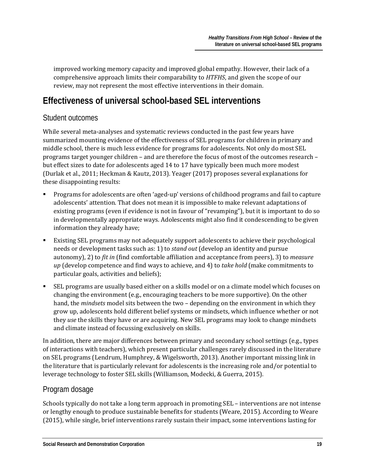improved working memory capacity and improved global empathy. However, their lack of a comprehensive approach limits their comparability to *HTFHS*, and given the scope of our review, may not represent the most effective interventions in their domain.

# <span id="page-21-0"></span>**Effectiveness of universal school-based SEL interventions**

#### Student outcomes

While several meta-analyses and systematic reviews conducted in the past few years have summarized mounting evidence of the effectiveness of SEL programs for children in primary and middle school, there is much less evidence for programs for adolescents. Not only do most SEL programs target younger children – and are therefore the focus of most of the outcomes research – but effect sizes to date for adolescents aged 14 to 17 have typically been much more modest (Durlak et al., 2011; Heckman & Kautz, 2013). Yeager (2017) proposes several explanations for these disappointing results:

- Programs for adolescents are often 'aged-up' versions of childhood programs and fail to capture adolescents' attention. That does not mean it is impossible to make relevant adaptations of existing programs (even if evidence is not in favour of "revamping"), but it is important to do so in developmentally appropriate ways. Adolescents might also find it condescending to be given information they already have;
- Existing SEL programs may not adequately support adolescents to achieve their psychological needs or development tasks such as: 1) to *stand out* (develop an identity and pursue autonomy), 2) to *fit in* (find comfortable affiliation and acceptance from peers), 3) to *measure up* (develop competence and find ways to achieve, and 4) to *take hold* (make commitments to particular goals, activities and beliefs);
- SEL programs are usually based either on a skills model or on a climate model which focuses on changing the environment (e.g., encouraging teachers to be more supportive). On the other hand, the *mindsets* model sits between the two – depending on the environment in which they grow up, adolescents hold different belief systems or mindsets, which influence whether or not they *use* the skills they have or are acquiring. New SEL programs may look to change mindsets and climate instead of focussing exclusively on skills.

In addition, there are major differences between primary and secondary school settings (e.g., types of interactions with teachers), which present particular challenges rarely discussed in the literature on SEL programs (Lendrum, Humphrey, & Wigelsworth, 2013). Another important missing link in the literature that is particularly relevant for adolescents is the increasing role and/or potential to leverage technology to foster SEL skills (Williamson, Modecki, & Guerra, 2015).

#### Program dosage

Schools typically do not take a long term approach in promoting SEL – interventions are not intense or lengthy enough to produce sustainable benefits for students (Weare, 2015). According to Weare (2015), while single, brief interventions rarely sustain their impact, some interventions lasting for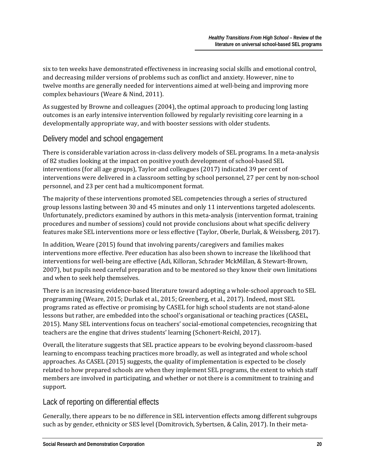six to ten weeks have demonstrated effectiveness in increasing social skills and emotional control, and decreasing milder versions of problems such as conflict and anxiety. However, nine to twelve months are generally needed for interventions aimed at well-being and improving more complex behaviours (Weare & Nind, 2011).

As suggested by Browne and colleagues (2004), the optimal approach to producing long lasting outcomes is an early intensive intervention followed by regularly revisiting core learning in a developmentally appropriate way, and with booster sessions with older students.

#### Delivery model and school engagement

There is considerable variation across in-class delivery models of SEL programs. In a meta-analysis of 82 studies looking at the impact on positive youth development of school-based SEL interventions (for all age groups), Taylor and colleagues (2017) indicated 39 per cent of interventions were delivered in a classroom setting by school personnel, 27 per cent by non-school personnel, and 23 per cent had a multicomponent format.

The majority of these interventions promoted SEL competencies through a series of structured group lessons lasting between 30 and 45 minutes and only 11 interventions targeted adolescents. Unfortunately, predictors examined by authors in this meta-analysis (intervention format, training procedures and number of sessions) could not provide conclusions about what specific delivery features make SEL interventions more or less effective (Taylor, Oberle, Durlak, & Weissberg, 2017).

In addition, Weare (2015) found that involving parents/caregivers and families makes interventions more effective. Peer education has also been shown to increase the likelihood that interventions for well-being are effective (Adi, Killoran, Schrader MckMillan, & Stewart-Brown, 2007), but pupils need careful preparation and to be mentored so they know their own limitations and when to seek help themselves.

There is an increasing evidence-based literature toward adopting a whole-school approach to SEL programming (Weare, 2015; Durlak et al., 2015; Greenberg, et al., 2017). Indeed, most SEL programs rated as effective or promising by CASEL for high school students are not stand-alone lessons but rather, are embedded into the school's organisational or teaching practices (CASEL, 2015). Many SEL interventions focus on teachers' social-emotional competencies, recognizing that teachers are the engine that drives students' learning (Schonert-Reichl, 2017).

Overall, the literature suggests that SEL practice appears to be evolving beyond classroom-based learning to encompass teaching practices more broadly, as well as integrated and whole school approaches. As CASEL (2015) suggests, the quality of implementation is expected to be closely related to how prepared schools are when they implement SEL programs, the extent to which staff members are involved in participating, and whether or not there is a commitment to training and support.

#### Lack of reporting on differential effects

Generally, there appears to be no difference in SEL intervention effects among different subgroups such as by gender, ethnicity or SES level (Domitrovich, Sybertsen, & Calin, 2017). In their meta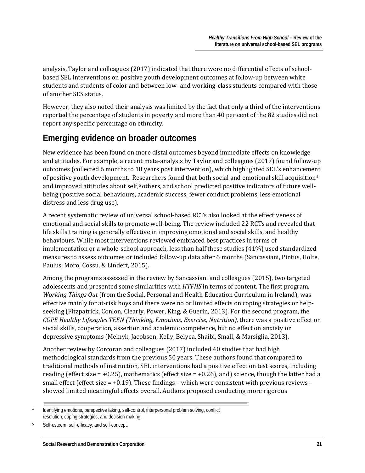analysis, Taylor and colleagues (2017) indicated that there were no differential effects of schoolbased SEL interventions on positive youth development outcomes at follow-up between white students and students of color and between low- and working-class students compared with those of another SES status.

However, they also noted their analysis was limited by the fact that only a third of the interventions reported the percentage of students in poverty and more than 40 per cent of the 82 studies did not report any specific percentage on ethnicity.

## <span id="page-23-0"></span>**Emerging evidence on broader outcomes**

New evidence has been found on more distal outcomes beyond immediate effects on knowledge and attitudes. For example, a recent meta-analysis by Taylor and colleagues (2017) found follow-up outcomes (collected 6 months to 18 years post intervention), which highlighted SEL's enhanceme[nt](#page-23-1) of positive youth development. Researchers found that both social and emotional skill acquisition4 and improved attitudes about self,<sup>[5](#page-23-2)</sup> others, and school predicted positive indicators of future wellbeing (positive social behaviours, academic success, fewer conduct problems, less emotional distress and less drug use).

A recent systematic review of universal school-based RCTs also looked at the effectiveness of emotional and social skills to promote well-being. The review included 22 RCTs and revealed that life skills training is generally effective in improving emotional and social skills, and healthy behaviours. While most interventions reviewed embraced best practices in terms of implementation or a whole-school approach, less than half these studies (41%) used standardized measures to assess outcomes or included follow-up data after 6 months (Sancassiani, Pintus, Holte, Paulus, Moro, Cossu, & Lindert, 2015).

Among the programs assessed in the review by Sancassiani and colleagues (2015), two targeted adolescents and presented some similarities with *HTFHS* in terms of content. The first program, *Working Things Out* (from the Social, Personal and Health Education Curriculum in Ireland), was effective mainly for at-risk boys and there were no or limited effects on coping strategies or helpseeking (Fitzpatrick, Conlon, Clearly, Power, King, & Guerin, 2013). For the second program, the *COPE Healthy Lifestyles TEEN (Thinking, Emotions, Exercise, Nutrition)*, there was a positive effect on social skills, cooperation, assertion and academic competence, but no effect on anxiety or depressive symptoms (Melnyk, Jacobson, Kelly, Belyea, Shaibi, Small, & Marsiglia, 2013).

Another review by Corcoran and colleagues (2017) included 40 studies that had high methodological standards from the previous 50 years. These authors found that compared to traditional methods of instruction, SEL interventions had a positive effect on test scores, including reading (effect size =  $+0.25$ ), mathematics (effect size =  $+0.26$ ), and) science, though the latter had a small effect (effect size  $= +0.19$ ). These findings – which were consistent with previous reviews – showed limited meaningful effects overall. Authors proposed conducting more rigorous

<span id="page-23-1"></span><sup>4</sup> Identifying emotions, perspective taking, self-control, interpersonal problem solving, conflict resolution, coping strategies, and decision-making.

<span id="page-23-2"></span><sup>5</sup> Self-esteem, self-efficacy, and self-concept.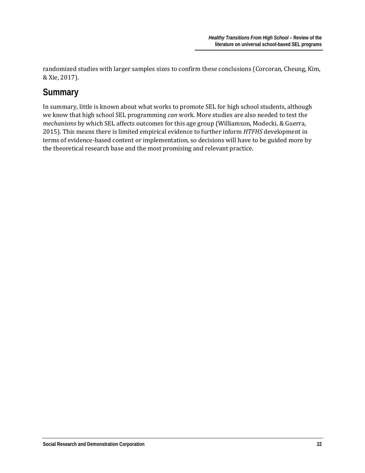randomized studies with larger samples sizes to confirm these conclusions (Corcoran, Cheung, Kim, & Xie, 2017).

## <span id="page-24-0"></span>**Summary**

In summary, little is known about what works to promote SEL for high school students, although we know that high school SEL programming *can* work. More studies are also needed to test the *mechanisms* by which SEL affects outcomes for this age group (Williamson, Modecki, & Guerra, 2015). This means there is limited empirical evidence to further inform *HTFHS* development in terms of evidence-based content or implementation, so decisions will have to be guided more by the theoretical research base and the most promising and relevant practice.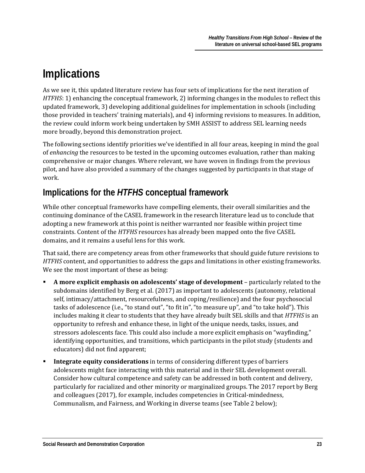# <span id="page-25-0"></span>**Implications**

As we see it, this updated literature review has four sets of implications for the next iteration of *HTFHS*: 1) enhancing the conceptual framework, 2) informing changes in the modules to reflect this updated framework, 3) developing additional guidelines for implementation in schools (including those provided in teachers' training materials), and 4) informing revisions to measures. In addition, the review could inform work being undertaken by SMH ASSIST to address SEL learning needs more broadly, beyond this demonstration project.

The following sections identify priorities we've identified in all four areas, keeping in mind the goal of *enhancing* the resources to be tested in the upcoming outcomes evaluation, rather than making comprehensive or major changes. Where relevant, we have woven in findings from the previous pilot, and have also provided a summary of the changes suggested by participants in that stage of work.

## <span id="page-25-1"></span>**Implications for the** *HTFHS* **conceptual framework**

While other conceptual frameworks have compelling elements, their overall similarities and the continuing dominance of the CASEL framework in the research literature lead us to conclude that adopting a new framework at this point is neither warranted nor feasible within project time constraints. Content of the *HTFHS* resources has already been mapped onto the five CASEL domains, and it remains a useful lens for this work.

That said, there are competency areas from other frameworks that should guide future revisions to *HTFHS* content, and opportunities to address the gaps and limitations in other existing frameworks. We see the most important of these as being:

- **A more explicit emphasis on adolescents' stage of development** particularly related to the subdomains identified by Berg et al. (2017) as important to adolescents (autonomy, relational self, intimacy/attachment, resourcefulness, and coping/resilience) and the four psychosocial tasks of adolescence (i.e., "to stand out", "to fit in", "to measure up", and "to take hold"). This includes making it clear to students that they have already built SEL skills and that *HTFHS* is an opportunity to refresh and enhance these, in light of the unique needs, tasks, issues, and stressors adolescents face. This could also include a more explicit emphasis on "wayfinding," identifying opportunities, and transitions, which participants in the pilot study (students and educators) did not find apparent;
- **Integrate equity considerations** in terms of considering different types of barriers adolescents might face interacting with this material and in their SEL development overall. Consider how cultural competence and safety can be addressed in both content and delivery, particularly for racialized and other minority or marginalized groups. The 2017 report by Berg and colleagues (2017), for example, includes competencies in Critical-mindedness, Communalism, and Fairness, and Working in diverse teams (see Table 2 below);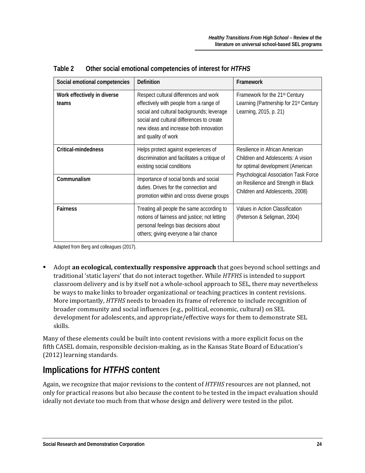| Social emotional competencies        | Definition                                                                                                                                                                                                                                  | Framework                                                                                                      |
|--------------------------------------|---------------------------------------------------------------------------------------------------------------------------------------------------------------------------------------------------------------------------------------------|----------------------------------------------------------------------------------------------------------------|
| Work effectively in diverse<br>teams | Respect cultural differences and work<br>effectively with people from a range of<br>social and cultural backgrounds; leverage<br>social and cultural differences to create<br>new ideas and increase both innovation<br>and quality of work | Framework for the 21st Century<br>Learning (Partnership for 21 <sup>st</sup> Century<br>Learning, 2015, p. 21) |
| Critical-mindedness                  | Helps protect against experiences of<br>discrimination and facilitates a critique of<br>existing social conditions                                                                                                                          | Resilience in African American<br>Children and Adolescents: A vision<br>for optimal development (American      |
| Communalism                          | Importance of social bonds and social<br>duties. Drives for the connection and<br>promotion within and cross diverse groups                                                                                                                 | Psychological Association Task Force<br>on Resilience and Strength in Black<br>Children and Adolescents, 2008) |
| <b>Fairness</b>                      | Treating all people the same according to<br>notions of fairness and justice; not letting<br>personal feelings bias decisions about<br>others; giving everyone a fair chance                                                                | Values in Action Classification<br>(Peterson & Seligman, 2004)                                                 |

**Table 2 Other social emotional competencies of interest for** *HTFHS* 

Adapted from Berg and colleagues (2017).

 Adopt **an ecological, contextually responsive approach** that goes beyond school settings and traditional 'static layers' that do not interact together. While *HTFHS* is intended to support classroom delivery and is by itself not a whole-school approach to SEL, there may nevertheless be ways to make links to broader organizational or teaching practices in content revisions. More importantly, *HTFHS* needs to broaden its frame of reference to include recognition of broader community and social influences (e.g., political, economic, cultural) on SEL development for adolescents, and appropriate/effective ways for them to demonstrate SEL skills.

Many of these elements could be built into content revisions with a more explicit focus on the fifth CASEL domain, responsible decision-making, as in the Kansas State Board of Education's (2012) learning standards.

## <span id="page-26-0"></span>**Implications for** *HTFHS* **content**

Again, we recognize that major revisions to the content of *HTFHS* resources are not planned, not only for practical reasons but also because the content to be tested in the impact evaluation should ideally not deviate too much from that whose design and delivery were tested in the pilot.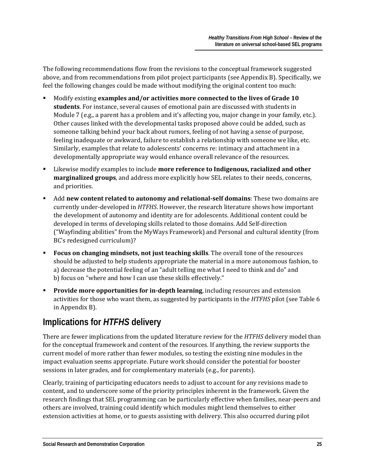The following recommendations flow from the revisions to the conceptual framework suggested above, and from recommendations from pilot project participants (see Appendix B). Specifically, we feel the following changes could be made without modifying the original content too much:

- Modify existing **examples and/or activities more connected to the lives of Grade 10 students**. For instance, several causes of emotional pain are discussed with students in Module 7 (e.g., a parent has a problem and it's affecting you, major change in your family, etc.). Other causes linked with the developmental tasks proposed above could be added, such as someone talking behind your back about rumors, feeling of not having a sense of purpose, feeling inadequate or awkward, failure to establish a relationship with someone we like, etc. Similarly, examples that relate to adolescents' concerns re: intimacy and attachment in a developmentally appropriate way would enhance overall relevance of the resources.
- Likewise modify examples to include **more reference to Indigenous, racialized and other marginalized groups**, and address more explicitly how SEL relates to their needs, concerns, and priorities.
- Add **new content related to autonomy and relational-self domains**: These two domains are currently under-developed in *HTFHS*. However, the research literature shows how important the development of autonomy and identity are for adolescents. Additional content could be developed in terms of developing skills related to those domains. Add Self-direction ("Wayfinding abilities" from the MyWays Framework) and Personal and cultural identity (from BC's redesigned curriculum)?
- **Focus on changing mindsets, not just teaching skills**. The overall tone of the resources should be adjusted to help students appropriate the material in a more autonomous fashion, to a) decrease the potential feeling of an "adult telling me what I need to think and do" and b) focus on "where and how I can use these skills effectively."
- **Provide more opportunities for in-depth learning**, including resources and extension activities for those who want them, as suggested by participants in the *HTFHS* pilot (see Table 6 in Appendix B).

# <span id="page-27-0"></span>**Implications for** *HTFHS* **delivery**

There are fewer implications from the updated literature review for the *HTFHS* delivery model than for the conceptual framework and content of the resources. If anything, the review supports the current model of more rather than fewer modules, so testing the existing nine modules in the impact evaluation seems appropriate. Future work should consider the potential for booster sessions in later grades, and for complementary materials (e.g., for parents).

Clearly, training of participating educators needs to adjust to account for any revisions made to content, and to underscore some of the priority principles inherent in the framework. Given the research findings that SEL programming can be particularly effective when families, near-peers and others are involved, training could identify which modules might lend themselves to either extension activities at home, or to guests assisting with delivery. This also occurred during pilot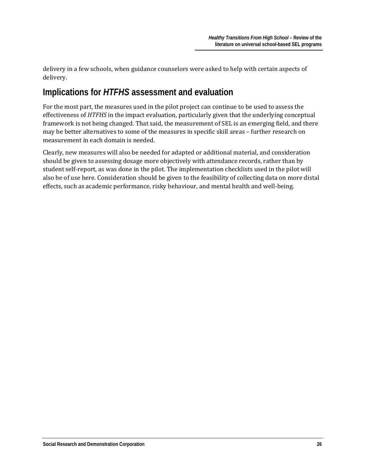delivery in a few schools, when guidance counselors were asked to help with certain aspects of delivery.

## <span id="page-28-0"></span>**Implications for** *HTFHS* **assessment and evaluation**

For the most part, the measures used in the pilot project can continue to be used to assess the effectiveness of *HTFHS* in the impact evaluation, particularly given that the underlying conceptual framework is not being changed. That said, the measurement of SEL is an emerging field, and there may be better alternatives to some of the measures in specific skill areas – further research on measurement in each domain is needed.

Clearly, new measures will also be needed for adapted or additional material, and consideration should be given to assessing dosage more objectively with attendance records, rather than by student self-report, as was done in the pilot. The implementation checklists used in the pilot will also be of use here. Consideration should be given to the feasibility of collecting data on more distal effects, such as academic performance, risky behaviour, and mental health and well-being.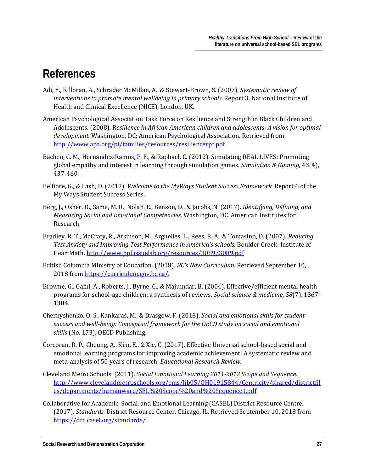# <span id="page-29-0"></span>**References**

- Adi, Y., Killoran, A., Schrader McMillan, A., & Stewart-Brown, S. (2007). *Systematic review of interventions to promote mental wellbeing in primary schools.* Report 3. National Institute of Health and Clinical Excellence (NICE), London, UK.
- American Psychological Association Task Force on Resilience and Strength in Black Children and Adolescents. (2008). R*esilience in African American children and adolescents: A vision for optimal development.* Washington, DC: American Psychological Association. Retrieved from <http://www.apa.org/pi/families/resources/resiliencerpt.pdf>
- Bachen, C. M., Hernández-Ramos, P. F., & Raphael, C. (2012). Simulating REAL LIVES: Promoting global empathy and interest in learning through simulation games. *Simulation & Gaming*, 43(4), 437-460.
- Belfiore, G., & Lash, D. (2017). *Welcome to the MyWays Student Success Framework.* Report 6 of the My Ways Student Success Series.
- Berg, J., Osher, D., Same, M. R., Nolan, E., Benson, D., & Jacobs, N. (2017). *Identifying, Defining, and Measuring Social and Emotional Competencies.* Washington, DC. American Institutes for Research.
- Bradley, R. T., McCraty, R., Atkinson, M., Arguelles, L., Rees, R. A., & Tomasino, D. (2007). *Reducing Test Anxiety and Improving Test Performance in America's schools*. Boulder Creek: Institute of HeartMath.<http://www.ppf.issuelab.org/resources/3089/3089.pdf>
- British Columbia Ministry of Education. (2018). *BC's New Curriculum.* Retrieved September 10, 2018 from [https://curriculum.gov.bc.ca/.](https://curriculum.gov.bc.ca/)
- Browne, G., Gafni, A., Roberts, J., Byrne, C., & Majumdar, B. (2004). Effective/efficient mental health programs for school-age children: a synthesis of reviews. *Social science & medicine, 58*(7), 1367- 1384.
- Chernyshenko, O. S., Kankaraš, M., & Drasgow, F. (2018). *Social and emotional skills for student success and well-being: Conceptual framework for the OECD study on social and emotional skills* (No. 173). OECD Publishing.
- Corcoran, R. P., Cheung, A., Kim, E., & Xie, C. (2017). Effective Universal school-based social and emotional learning programs for improving academic achievement: A systematic review and meta-analysis of 50 years of research. *Educational Research Review.*
- Cleveland Metro Schools. (2011). *Social Emotional Learning 2011-2012 Scope and Sequence.* [http://www.clevelandmetroschools.org/cms/lib05/OH01915844/Centricity/shared/districtfil](http://www.clevelandmetroschools.org/cms/lib05/OH01915844/Centricity/shared/districtfiles/departments/humanware/SEL%20Scope%20and%20Sequence1.pdf) [es/departments/humanware/SEL%20Scope%20and%20Sequence1.pdf](http://www.clevelandmetroschools.org/cms/lib05/OH01915844/Centricity/shared/districtfiles/departments/humanware/SEL%20Scope%20and%20Sequence1.pdf)
- Collaborative for Academic, Social, and Emotional Learning (CASEL) District Resource Centre. (2017). *Standards.* District Resource Center. Chicago, IL. Retrieved September 10, 2018 from <https://drc.casel.org/standards/>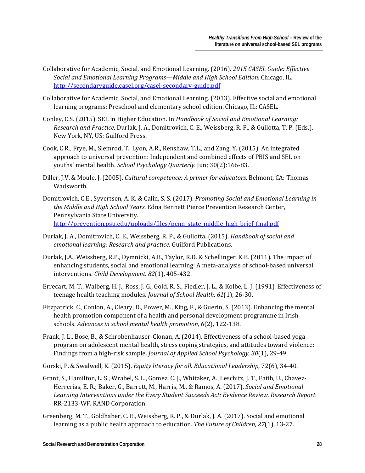- Collaborative for Academic, Social, and Emotional Learning. (2016). *2015 CASEL Guide: Effective Social and Emotional Learning Programs—Middle and High School Edition.* Chicago, IL. <http://secondaryguide.casel.org/casel-secondary-guide.pdf>
- Collaborative for Academic, Social, and Emotional Learning. (2013). Effective social and emotional learning programs: Preschool and elementary school edition. Chicago, IL: CASEL.
- Conley, C.S. (2015). SEL in Higher Education. In *Handbook of Social and Emotional Learning: Research and Practice,* Durlak, J. A., Domitrovich, C. E., Weissberg, R. P., & Gullotta, T. P. (Eds.). New York, NY, US: Guilford Press.
- Cook, C.R., Frye, M., Slemrod, T., Lyon, A.R., Renshaw, T.L., and Zang, Y. (2015). An integrated approach to universal prevention: Independent and combined effects of PBIS and SEL on youths' mental health. *[School Psychology Quarterly.](https://www.ncbi.nlm.nih.gov/pubmed/25602629)* Jun; 30(2):166-83.
- Diller, J.V. & Moule, J. (2005). *Cultural competence: A primer for educators*. Belmont, CA: Thomas Wadsworth.
- Domitrovich, C.E., Syvertsen, A. K. & Calin, S. S. (2017). *Promoting Social and Emotional Learning in the Middle and High School Years*. Edna Bennett Pierce Prevention Research Center, Pennsylvania State University. [http://prevention.psu.edu/uploads/files/penn\\_state\\_middle\\_high\\_brief\\_final.pdf](http://prevention.psu.edu/uploads/files/penn_state_middle_high_brief_final.pdf)
- Durlak, J. A., Domitrovich, C. E., Weissberg, R. P., & Gullotta. (2015). *Handbook of social and emotional learning: Research and practice.* Guilford Publications.
- Durlak, J.A., Weissberg, R.P., Dymnicki, A.B., Taylor, R.D. & Schellinger, K.B. (2011). The impact of enhancing students, social and emotional learning: A meta-analysis of school-based universal interventions. *Child Development. 82*(1), 405-432.
- Errecart, M. T., Walberg, H. J., Ross, J. G., Gold, R. S., Fiedler, J. L., & Kolbe, L. J. (1991). Effectiveness of teenage health teaching modules. *Journal of School Health, 61*(1), 26-30.
- Fitzpatrick, C., Conlon, A., Cleary, D., Power, M., King, F., & Guerin, S. (2013). Enhancing the mental health promotion component of a health and personal development programme in Irish schools. *Advances in school mental health promotion, 6*(2), 122-138.
- Frank, J. L., Bose, B., & Schrobenhauser-Clonan, A. (2014). Effectiveness of a school-based yoga program on adolescent mental health, stress coping strategies, and attitudes toward violence: Findings from a high-risk sample. *Journal of Applied School Psychology, 30*(1), 29-49.

Gorski, P. & Swalwell, K. (2015). *Equity literacy for all. Educational Leadership*, 72(6), 34-40.

- Grant, S., Hamilton, L. S., Wrabel, S. L., Gomez, C. J., Whitaker, A., Leschitz, J. T., Fatih, U., Chavez-Herrerias, E. R.; Baker, G., Barrett, M., Harris, M., & Ramos, A. (2017). *Social and Emotional Learning Interventions under the Every Student Succeeds Act: Evidence Review. Research Report*. RR-2133-WF. RAND Corporation.
- Greenberg, M. T., Goldhaber, C. E., Weissberg, R. P., & Durlak, J. A. (2017). Social and emotional learning as a public health approach to education. *The Future of Children, 27*(1), 13-27.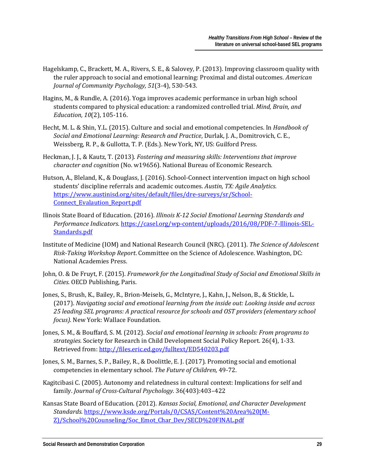- Hagelskamp, C., Brackett, M. A., Rivers, S. E., & Salovey, P. (2013). Improving classroom quality with the ruler approach to social and emotional learning: Proximal and distal outcomes*. American Journal of Community Psychology, 51*(3-4), 530-543.
- Hagins, M., & Rundle, A. (2016). Yoga improves academic performance in urban high school students compared to physical education: a randomized controlled trial. *Mind, Brain, and Education, 10*(2), 105-116.
- Hecht, M. L. & Shin, Y.L. (2015). Culture and social and emotional competencies. In *Handbook of Social and Emotional Learning: Research and Practice*, Durlak, J. A., Domitrovich, C. E., Weissberg, R. P., & Gullotta, T. P. (Eds.). New York, NY, US: Guilford Press.
- Heckman, J. J., & Kautz, T. (2013). *Fostering and measuring skills: Interventions that improve character and cognition* (No. w19656). National Bureau of Economic Research.
- Hutson, A., Bleland, K., & Douglass, J. (2016). School-Connect intervention impact on high school students' discipline referrals and academic outcomes. *Austin, TX: Agile Analytics.* [https://www.austinisd.org/sites/default/files/dre-surveys/sr/School-](https://www.austinisd.org/sites/default/files/dre-surveys/sr/School-Connect_Evalaution_Report.pdf)[Connect\\_Evalaution\\_Report.pdf](https://www.austinisd.org/sites/default/files/dre-surveys/sr/School-Connect_Evalaution_Report.pdf)
- Ilinois State Board of Education. (2016). *Illinois K-12 Social Emotional Learning Standards and Performance Indicators*. [https://casel.org/wp-content/uploads/2016/08/PDF-7-Illinois-SEL-](https://casel.org/wp-content/uploads/2016/08/PDF-7-Illinois-SEL-Standards.pdf)[Standards.pdf](https://casel.org/wp-content/uploads/2016/08/PDF-7-Illinois-SEL-Standards.pdf)
- Institute of Medicine (IOM) and National Research Council (NRC). (2011). *The Science of Adolescent Risk-Taking Workshop Report*. Committee on the Science of Adolescence. Washington, DC: National Academies Press.
- John, O. & De Fruyt, F. (2015). *Framework for the Longitudinal Study of Social and Emotional Skills in Cities.* OECD Publishing, Paris.
- Jones, S., Brush, K., Bailey, R., Brion-Meisels, G., McIntyre, J., Kahn, J., Nelson, B., & Stickle, L. (2017). *Navigating social and emotional learning from the inside out: Looking inside and across 25 leading SEL programs: A practical resource for schools and OST providers (elementary school focus)*. New York: Wallace Foundation.
- Jones, S. M., & Bouffard, S. M. (2012). *Social and emotional learning in schools: From programs to strategies.* Society for Research in Child Development Social Policy Report. 26(4), 1-33. Retrieved from[: http://files.eric.ed.gov/fulltext/ED540203.pdf](http://files.eric.ed.gov/fulltext/ED540203.pdf)
- Jones, S. M., Barnes, S. P., Bailey, R., & Doolittle, E. J. (2017). Promoting social and emotional competencies in elementary school. *The Future of Children,* 49-72.
- Kagitcibasi C. (2005). Autonomy and relatedness in cultural context: Implications for self and family. *Journal of Cross-Cultural Psychology.* 36(403):403–422
- Kansas State Board of Education. (2012). *Kansas Social, Emotional, and Character Development Standards*. [https://www.ksde.org/Portals/0/CSAS/Content%20Area%20\(M-](https://www.ksde.org/Portals/0/CSAS/Content%20Area%20(M-Z)/School%20Counseling/Soc_Emot_Char_Dev/SECD%20FINAL.pdf)[Z\)/School%20Counseling/Soc\\_Emot\\_Char\\_Dev/SECD%20FINAL.pdf](https://www.ksde.org/Portals/0/CSAS/Content%20Area%20(M-Z)/School%20Counseling/Soc_Emot_Char_Dev/SECD%20FINAL.pdf)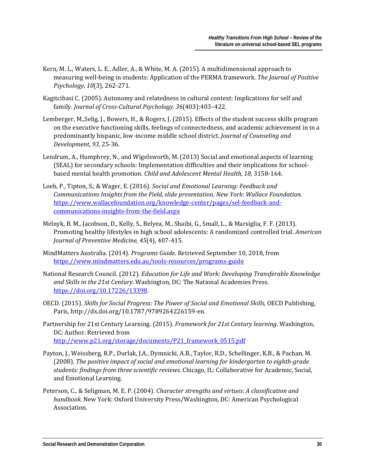- Kern, M. L., Waters, L. E., Adler, A., & White, M. A. (2015). A multidimensional approach to measuring well-being in students: Application of the PERMA framework*. The Journal of Positive Psychology, 10*(3), 262-271.
- Kagitcibasi C. (2005). Autonomy and relatedness in cultural context: Implications for self and family. *Journal of Cross-Cultural Psychology. 36*(403):403–422.
- Lemberger, M.,Selig, J., Bowers, H., & Rogers, J. (2015). Effects of the student success skills program on the executive functioning skills, feelings of connectedness, and academic achievement in in a predominantly hispanic, low-income middle school district. *Journal of Counseling and Development, 93,* 25-36.
- Lendrum, A., Humphrey, N., and Wigelsworth, M. (2013) Social and emotional aspects of learning (SEAL) for secondary schools: Implementation difficulties and their implications for schoolbased mental health promotion. *Child and Adolescent Mental Health, 18,* 3158-164.
- Loeb, P., Tipton, S., & Wager, E. (2016). *Social and Emotional Learning: Feedback and Communications Insights from the Field, slide presentation, New York: Wallace Foundation*. [https://www.wallacefoundation.org/knowledge-center/pages/sel-feedback-and](https://www.wallacefoundation.org/knowledge-center/pages/sel-feedback-and-communications-insights-from-the-field.aspx)[communications-insights-from-the-field.aspx](https://www.wallacefoundation.org/knowledge-center/pages/sel-feedback-and-communications-insights-from-the-field.aspx)
- Melnyk, B. M., Jacobson, D., Kelly, S., Belyea, M., Shaibi, G., Small, L., & Marsiglia, F. F. (2013). Promoting healthy lifestyles in high school adolescents: A randomized controlled trial. *American Journal of Preventive Medicine, 45*(4), 407-415.
- MindMatters Australia. (2014). *Programs Guide*. Retrieved September 10, 2018, from <https://www.mindmatters.edu.au/tools-resources/programs-guide>
- National Research Council. (2012). *Education for Life and Work: Developing Transferable Knowledge and Skills in the 21st Century*. Washington, DC: The National Academies Press. [https://doi.org/10.17226/13398.](https://doi.org/10.17226/13398)
- OECD. (2015). *Skills for Social Progress: The Power of Social and Emotional Skills,* OECD Publishing, Paris, http://dx.doi.org/10.1787/9789264226159-en.
- Partnership for 21st Century Learning. (2015). *Framework for 21st Century learning*. Washington, DC: Author. Retrieved from [http://www.p21.org/storage/documents/P21\\_framework\\_0515.pdf](http://www.p21.org/storage/documents/P21_framework_0515.pdf)
- Payton, J., Weissberg, R.P., Durlak, J.A., Dymnicki, A.B., Taylor, R.D., Schellinger, K.B., & Pachan, M. (2008). *The positive impact of social and emotional learning for kindergarten to eighth-grade students: findings from three scientific reviews*. Chicago, IL: Collaborative for Academic, Social, and Emotional Learning.
- Peterson, C., & Seligman, M. E. P. (2004). *Character strengths and virtues: A classification and handbook.* New York: Oxford University Press/Washington, DC: American Psychological Association.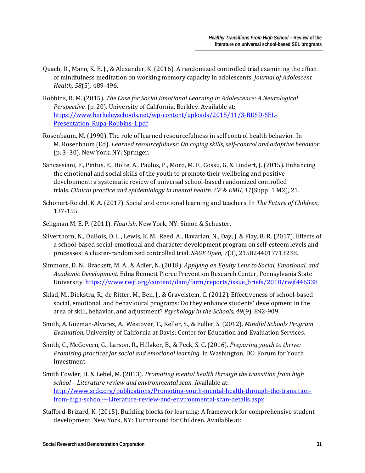- Quach, D., Mano, K. E. J., & Alexander, K. (2016). A randomized controlled trial examining the effect of mindfulness meditation on working memory capacity in adolescents. *Journal of Adolescent Health, 58*(5), 489-496.
- Robbins, R. M. (2015). *The Case for Social Emotional Learning in Adolescence: A Neurological Perspective.* (p. 20). University of California, Berkley. Available at: [https://www.berkeleyschools.net/wp-content/uploads/2015/11/3-BUSD-SEL-](https://www.berkeleyschools.net/wp-content/uploads/2015/11/3-BUSD-SEL-Presentation_Rupa-Robbins-1.pdf)[Presentation\\_Rupa-Robbins-1.pdf](https://www.berkeleyschools.net/wp-content/uploads/2015/11/3-BUSD-SEL-Presentation_Rupa-Robbins-1.pdf)
- Rosenbaum, M. (1990). The role of learned resourcefulness in self control health behavior. In M. Rosenbaum (Ed). *Learned resourcefulness: On coping skills, self-control and adaptive behavior*  (p. 3–30). New York, NY: Springer.
- Sancassiani, F., Pintus, E., Holte, A., Paulus, P., Moro, M. F., Cossu, G, & Lindert, J. (2015). Enhancing the emotional and social skills of the youth to promote their wellbeing and positive development: a systematic review of universal school-based randomized controlled trials*. Clinical practice and epidemiology in mental health: CP & EMH, 11*(Suppl 1 M2), 21.
- Schonert-Reichl, K. A. (2017). Social and emotional learning and teachers. In *The Future of Children*, 137-155.
- Seligman M. E. P. (2011). *Flourish*. New York, NY: Simon & Schuster.
- Silverthorn, N., DuBois, D. L., Lewis, K. M., Reed, A., Bavarian, N., Day, J. & Flay, B. R. (2017). Effects of a school-based social-emotional and character development program on self-esteem levels and processes: A cluster-randomized controlled trial. *SAGE Open, 7*(3), 2158244017713238.
- Simmons, D. N., Brackett, M. A., & Adler, N. (2018). *Applying an Equity Lens to Social, Emotional, and Academic Development*. Edna Bennett Pierce Prevention Research Center, Pennsylvania State University. [https://www.rwjf.org/content/dam/farm/reports/issue\\_briefs/2018/rwjf446338](https://www.rwjf.org/content/dam/farm/reports/issue_briefs/2018/rwjf446338)
- Sklad, M., Diekstra, R., de Ritter, M., Ben, J,. & Gravelstein, C. (2012). Effectiveness of school-based social, emotional, and behavioural programs: Do they enhance students' development in the area of skill, behavior, and adjustment? *Psychology in the Schools, 49*(9), 892-909.
- Smith, A. Guzman-Alvarez, A., Westover, T., Keller, S., & Fuller, S. (2012). *Mindful Schools Program Evaluation.* University of California at Davis: Center for Education and Evaluation Services.
- Smith, C., McGovern, G., Larson, R., Hillaker, B., & Peck, S. C. (2016). *Preparing youth to thrive: Promising practices for social and emotional learning*. In Washington, DC: Forum for Youth Investment.
- Smith Fowler, H. & Lebel, M. (2013). *Promoting mental health through the transition from high school – Literature review and environmental scan.* Available at: [http://www.srdc.org/publications/Promoting-youth-mental-health-through-the-transition](http://www.srdc.org/publications/Promoting-youth-mental-health-through-the-transition-from-high-school---Literature-review-and-environmental-scan-details.aspx)[from-high-school---Literature-review-and-environmental-scan-details.aspx](http://www.srdc.org/publications/Promoting-youth-mental-health-through-the-transition-from-high-school---Literature-review-and-environmental-scan-details.aspx)
- Stafford-Brizard, K. (2015). Building blocks for learning: A framework for comprehensive student development. New York, NY: Turnaround for Children. Available at: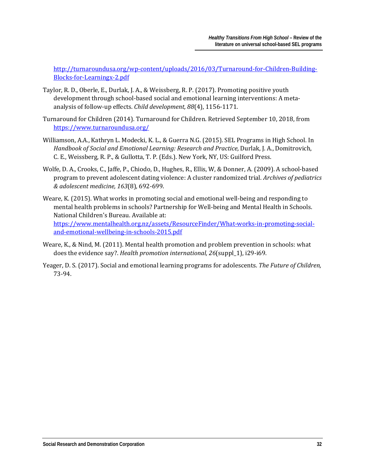[http://turnaroundusa.org/wp-content/uploads/2016/03/Turnaround-for-Children-Building-](http://turnaroundusa.org/wp-content/uploads/2016/03/Turnaround-for-Children-Building-Blocks-for-Learningx-2.pdf)[Blocks-for-Learningx-2.pdf](http://turnaroundusa.org/wp-content/uploads/2016/03/Turnaround-for-Children-Building-Blocks-for-Learningx-2.pdf)

- Taylor, R. D., Oberle, E., Durlak, J. A., & Weissberg, R. P. (2017). Promoting positive youth development through school-based social and emotional learning interventions: A metaanalysis of follow-up effects. *Child development, 88*(4), 1156-1171.
- Turnaround for Children (2014). Turnaround for Children. Retrieved September 10, 2018, from <https://www.turnaroundusa.org/>
- Williamson, A.A., Kathryn L. Modecki, K. L., & Guerra N.G. (2015). SEL Programs in High School. In *Handbook of Social and Emotional Learning: Research and Practice,* Durlak, J. A., Domitrovich, C. E., Weissberg, R. P., & Gullotta, T. P. (Eds.). New York, NY, US: Guilford Press.
- Wolfe, D. A., Crooks, C., Jaffe, P., Chiodo, D., Hughes, R., Ellis, W, & Donner, A. (2009). A school-based program to prevent adolescent dating violence: A cluster randomized trial. *Archives of pediatrics & adolescent medicine, 163*(8), 692-699.
- Weare, K. (2015). What works in promoting social and emotional well-being and responding to mental health problems in schools? Partnership for Well-being and Mental Health in Schools. National Children's Bureau. Available at: [https://www.mentalhealth.org.nz/assets/ResourceFinder/What-works-in-promoting-social](https://www.mentalhealth.org.nz/assets/ResourceFinder/What-works-in-promoting-social-and-emotional-wellbeing-in-schools-2015.pdf)[and-emotional-wellbeing-in-schools-2015.pdf](https://www.mentalhealth.org.nz/assets/ResourceFinder/What-works-in-promoting-social-and-emotional-wellbeing-in-schools-2015.pdf)
- Weare, K., & Nind, M. (2011). Mental health promotion and problem prevention in schools: what does the evidence say?. *Health promotion international, 26*(suppl\_1), i29-i69.
- Yeager, D. S. (2017). Social and emotional learning programs for adolescents. *The Future of Children,*  73-94.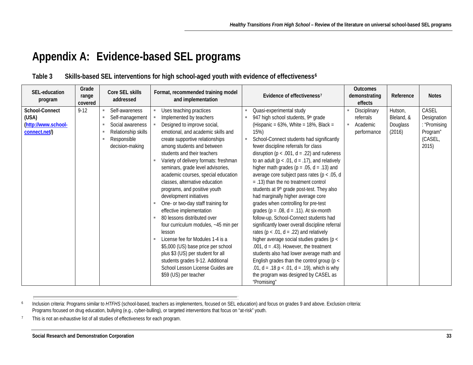# <span id="page-35-2"></span><span id="page-35-1"></span>**Appendix A: Evidence-based SEL programs**

| Table 3 | Skills-based SEL interventions for high school-aged youth with evidence of effectiveness <sup>6</sup> |  |  |
|---------|-------------------------------------------------------------------------------------------------------|--|--|
|         |                                                                                                       |  |  |

<span id="page-35-0"></span>

| SEL-education<br>program                                        | Grade<br>range<br>covered | Core SEL skills<br>addressed                                                                                        | Format, recommended training model<br>and implementation                                                                                                                                                                                                                                                                                                                                                                                                                                                                                                                                                                                                                                                                                                                                                          | Evidence of effectiveness <sup>7</sup>                                                                                                                                                                                                                                                                                                                                                                                                                                                                                                                                                                                                                                                                                                                                                                                                                                                                                                                                                                                                                                                                      | <b>Outcomes</b><br>demonstrating<br>effects                     | Reference                                   | <b>Notes</b>                                                         |
|-----------------------------------------------------------------|---------------------------|---------------------------------------------------------------------------------------------------------------------|-------------------------------------------------------------------------------------------------------------------------------------------------------------------------------------------------------------------------------------------------------------------------------------------------------------------------------------------------------------------------------------------------------------------------------------------------------------------------------------------------------------------------------------------------------------------------------------------------------------------------------------------------------------------------------------------------------------------------------------------------------------------------------------------------------------------|-------------------------------------------------------------------------------------------------------------------------------------------------------------------------------------------------------------------------------------------------------------------------------------------------------------------------------------------------------------------------------------------------------------------------------------------------------------------------------------------------------------------------------------------------------------------------------------------------------------------------------------------------------------------------------------------------------------------------------------------------------------------------------------------------------------------------------------------------------------------------------------------------------------------------------------------------------------------------------------------------------------------------------------------------------------------------------------------------------------|-----------------------------------------------------------------|---------------------------------------------|----------------------------------------------------------------------|
| School-Connect<br>(USA)<br>(http://www.school-<br>connect.net/) | $9 - 12$                  | Self-awareness<br>٠<br>Self-management<br>Social awareness<br>Relationship skills<br>Responsible<br>decision-making | Uses teaching practices<br>Implemented by teachers<br>Designed to improve social,<br>emotional, and academic skills and<br>create supportive relationships<br>among students and between<br>students and their teachers<br>Variety of delivery formats: freshman<br>seminars, grade level advisories,<br>academic courses, special education<br>classes, alternative education<br>programs, and positive youth<br>development initiatives<br>One- or two-day staff training for<br>effective implementation<br>80 lessons distributed over<br>٠<br>four curriculum modules, ~45 min per<br>lesson<br>License fee for Modules 1-4 is a<br>\$5,000 (US) base price per school<br>plus \$3 (US) per student for all<br>students grades 9-12. Additional<br>School Lesson License Guides are<br>\$59 (US) per teacher | Quasi-experimental study<br>947 high school students, 9th grade<br>(Hispanic = $63\%$ , White = $18\%$ , Black =<br>15%)<br>School-Connect students had significantly<br>fewer discipline referrals for class<br>disruption ( $p < .001$ , $d = .22$ ) and rudeness<br>to an adult ( $p < .01$ , $d = .17$ ), and relatively<br>higher math grades ( $p = .05$ , $d = .13$ ) and<br>average core subject pass rates ( $p < .05$ , d<br>$= .13$ ) than the no treatment control<br>students at 9 <sup>th</sup> grade post-test. They also<br>had marginally higher average core<br>grades when controlling for pre-test<br>grades ( $p = .08$ , $d = .11$ ). At six-month<br>follow-up, School-Connect students had<br>significantly lower overall discipline referral<br>rates ( $p < .01$ , $d = .22$ ) and relatively<br>higher average social studies grades (p <<br>.001, $d = .43$ ). However, the treatment<br>students also had lower average math and<br>English grades than the control group ( $p <$<br>.01, $d = .18$ p < .01, $d = .19$ ), which is why<br>the program was designed by CASEL as | Disciplinary<br>×<br>referrals<br>Academic<br>×.<br>performance | Hutson,<br>Bleland, &<br>Douglass<br>(2016) | CASEL<br>Designation<br>: "Promising<br>Program"<br>(CASEL,<br>2015) |
|                                                                 |                           |                                                                                                                     |                                                                                                                                                                                                                                                                                                                                                                                                                                                                                                                                                                                                                                                                                                                                                                                                                   | "Promisina"                                                                                                                                                                                                                                                                                                                                                                                                                                                                                                                                                                                                                                                                                                                                                                                                                                                                                                                                                                                                                                                                                                 |                                                                 |                                             |                                                                      |

<sup>6</sup> Inclusion criteria: Programs similar to *HTFHS* (school-based, teachers as implementers, focused on SEL education) and focus on grades 9 and above. Exclusion criteria: Programs focused on drug education, bullying (e.g., cyber-bulling), or targeted interventions that focus on "at-risk" youth.

<sup>7</sup> This is not an exhaustive list of all studies of effectiveness for each program.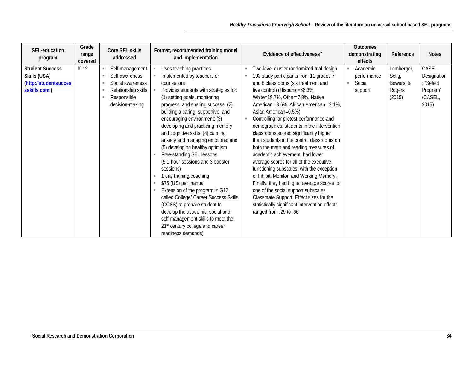| Grade<br>SEL-education<br>range<br>program<br>covered                                     | Core SEL skills<br>addressed                                                                                                                                     | Format, recommended training model<br>and implementation                                                                                                                                                                                                                                                                                                                                                                                                                                                                                                                                                                                                                                                                                                                                                                     | Evidence of effectiveness <sup>7</sup>                                                                                                                                                                                                                                                                                                                                                                                                                                                                                                                                                                                                                                                                                                                                                                                                                                              | <b>Outcomes</b><br>demonstrating<br>effects        | Reference                                             | <b>Notes</b>                                                    |
|-------------------------------------------------------------------------------------------|------------------------------------------------------------------------------------------------------------------------------------------------------------------|------------------------------------------------------------------------------------------------------------------------------------------------------------------------------------------------------------------------------------------------------------------------------------------------------------------------------------------------------------------------------------------------------------------------------------------------------------------------------------------------------------------------------------------------------------------------------------------------------------------------------------------------------------------------------------------------------------------------------------------------------------------------------------------------------------------------------|-------------------------------------------------------------------------------------------------------------------------------------------------------------------------------------------------------------------------------------------------------------------------------------------------------------------------------------------------------------------------------------------------------------------------------------------------------------------------------------------------------------------------------------------------------------------------------------------------------------------------------------------------------------------------------------------------------------------------------------------------------------------------------------------------------------------------------------------------------------------------------------|----------------------------------------------------|-------------------------------------------------------|-----------------------------------------------------------------|
| <b>Student Success</b><br>$K-12$<br>Skills (USA)<br>(http://studentsucces<br>sskills.com/ | Self-management<br>×<br>Self-awareness<br>×.<br>Social awareness<br>$\mathbf{u}$<br>Relationship skills<br>ш<br>Responsible<br>$\blacksquare$<br>decision-making | Uses teaching practices<br>٠<br>Implemented by teachers or<br>counsellors<br>Provides students with strategies for:<br>(1) setting goals, monitoring<br>progress, and sharing success; (2)<br>building a caring, supportive, and<br>encouraging environment; (3)<br>developing and practicing memory<br>and cognitive skills; (4) calming<br>anxiety and managing emotions; and<br>(5) developing healthy optimism<br>Free-standing SEL lessons<br>(51-hour sessions and 3 booster<br>sessions)<br>1 day training/coaching<br>٠<br>\$75 (US) per manual<br>٠<br>Extension of the program in G12<br>٠<br>called College/ Career Success Skills<br>(CCSS) to prepare student to<br>develop the academic, social and<br>self-management skills to meet the<br>21 <sup>st</sup> century college and career<br>readiness demands) | Two-level cluster randomized trial design<br>193 study participants from 11 grades 7<br>and 8 classrooms (six treatment and<br>five control) (Hispanic=66.3%,<br>White=19.7%, Other=7.8%, Native<br>American= 3.6%, African American = 2.1%,<br>Asian American=0.5%)<br>Controlling for pretest performance and<br>demographics: students in the intervention<br>classrooms scored significantly higher<br>than students in the control classrooms on<br>both the math and reading measures of<br>academic achievement, had lower<br>average scores for all of the executive<br>functioning subscales, with the exception<br>of Inhibit, Monitor, and Working Memory.<br>Finally, they had higher average scores for<br>one of the social support subscales,<br>Classmate Support. Effect sizes for the<br>statistically significant intervention effects<br>ranged from .29 to .66 | Academic<br>performance<br>Social<br>m.<br>support | Lemberger,<br>Selig,<br>Bowers, &<br>Rogers<br>(2015) | CASEL<br>Designation<br>"Select<br>Program"<br>(CASEL,<br>2015) |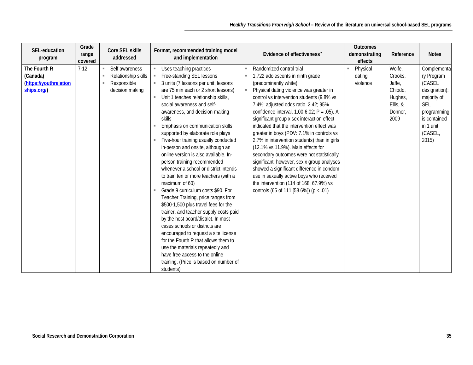| Grade<br>SEL-education<br>range<br>program<br>covered                       | Core SEL skills<br>addressed                                                            | Format, recommended training model<br>and implementation                                                                                                                                                                                                                                                                                                                                                                                                                                                                                                                                                                                                                                                                                                                                                                                                                                                                                                                                                                                                      | Evidence of effectiveness <sup>7</sup>                                                                                                                                                                                                                                                                                                                                                                                                                                                                                                                                                                                                                                                                                                                                                   | <b>Outcomes</b><br>demonstrating<br>effects | Reference                                                                        | <b>Notes</b>                                                                                                                                      |
|-----------------------------------------------------------------------------|-----------------------------------------------------------------------------------------|---------------------------------------------------------------------------------------------------------------------------------------------------------------------------------------------------------------------------------------------------------------------------------------------------------------------------------------------------------------------------------------------------------------------------------------------------------------------------------------------------------------------------------------------------------------------------------------------------------------------------------------------------------------------------------------------------------------------------------------------------------------------------------------------------------------------------------------------------------------------------------------------------------------------------------------------------------------------------------------------------------------------------------------------------------------|------------------------------------------------------------------------------------------------------------------------------------------------------------------------------------------------------------------------------------------------------------------------------------------------------------------------------------------------------------------------------------------------------------------------------------------------------------------------------------------------------------------------------------------------------------------------------------------------------------------------------------------------------------------------------------------------------------------------------------------------------------------------------------------|---------------------------------------------|----------------------------------------------------------------------------------|---------------------------------------------------------------------------------------------------------------------------------------------------|
| The Fourth R<br>$7-12$<br>(Canada)<br>(https://youthrelation<br>ships.org/) | Self awareness<br>m.<br>Relationship skills<br>٠<br>Responsible<br>٠<br>decision making | Uses teaching practices<br>Free-standing SEL lessons<br>3 units (7 lessons per unit, lessons<br>are 75 min each or 2 short lessons)<br>Unit 1 teaches relationship skills,<br>$\mathbb{R}^n$<br>social awareness and self-<br>awareness, and decision-making<br>skills<br>Emphasis on communication skills<br>supported by elaborate role plays<br>Five-hour training usually conducted<br>in-person and onsite, although an<br>online version is also available. In-<br>person training recommended<br>whenever a school or district intends<br>to train ten or more teachers (with a<br>maximum of 60)<br>Grade 9 curriculum costs \$90. For<br>Teacher Training, price ranges from<br>\$500-1,500 plus travel fees for the<br>trainer, and teacher supply costs paid<br>by the host board/district. In most<br>cases schools or districts are<br>encouraged to request a site license<br>for the Fourth R that allows them to<br>use the materials repeatedly and<br>have free access to the online<br>training. (Price is based on number of<br>students) | Randomized control trial<br>1,722 adolescents in ninth grade<br>(predominantly white)<br>Physical dating violence was greater in<br>×<br>control vs intervention students (9.8% vs<br>7.4%; adjusted odds ratio, 2.42; 95%<br>confidence interval, $1.00-6.02$ ; P = .05). A<br>significant group x sex interaction effect<br>indicated that the intervention effect was<br>greater in boys (PDV: 7.1% in controls vs<br>2.7% in intervention students) than in girls<br>(12.1% vs 11.9%). Main effects for<br>secondary outcomes were not statistically<br>significant; however, sex x group analyses<br>showed a significant difference in condom<br>use in sexually active boys who received<br>the intervention (114 of 168; 67.9%) vs<br>controls (65 of 111 [58.6%]) ( $p < .01$ ) | Physical<br>dating<br>violence              | Wolfe,<br>Crooks,<br>Jaffe,<br>Chiodo,<br>Hughes,<br>Ellis, &<br>Donner,<br>2009 | Complementa<br>ry Program<br>(CASEL<br>designation);<br>majority of<br><b>SEL</b><br>programming<br>is contained<br>in 1 unit<br>(CASEL,<br>2015) |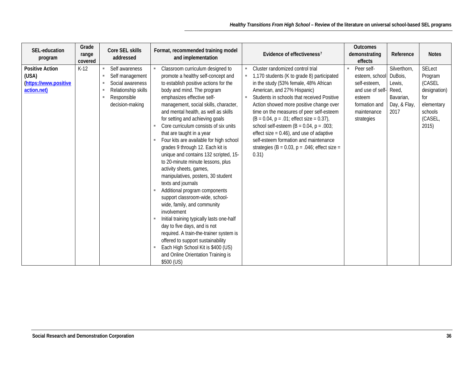| SEL-education<br>program                                                | Grade<br>range<br>covered | Core SEL skills<br>addressed                                                                                                                                         | Format, recommended training model<br>and implementation                                                                                                                                                                                                                                                                                                                                                                                                                                                                                                                                                                                                                                                                                                                                                                                                                                                                                                                                                                             | Evidence of effectiveness <sup>7</sup>                                                                                                                                                                                                                                                                                                                                                                                                                                                                                                               | <b>Outcomes</b><br>demonstrating<br>effects                                                                                    | Reference                                                                       | <b>Notes</b>                                                                                           |
|-------------------------------------------------------------------------|---------------------------|----------------------------------------------------------------------------------------------------------------------------------------------------------------------|--------------------------------------------------------------------------------------------------------------------------------------------------------------------------------------------------------------------------------------------------------------------------------------------------------------------------------------------------------------------------------------------------------------------------------------------------------------------------------------------------------------------------------------------------------------------------------------------------------------------------------------------------------------------------------------------------------------------------------------------------------------------------------------------------------------------------------------------------------------------------------------------------------------------------------------------------------------------------------------------------------------------------------------|------------------------------------------------------------------------------------------------------------------------------------------------------------------------------------------------------------------------------------------------------------------------------------------------------------------------------------------------------------------------------------------------------------------------------------------------------------------------------------------------------------------------------------------------------|--------------------------------------------------------------------------------------------------------------------------------|---------------------------------------------------------------------------------|--------------------------------------------------------------------------------------------------------|
| <b>Positive Action</b><br>(USA)<br>(https://www.positive<br>action.net) | $K-12$                    | Self awareness<br>m.<br>Self management<br>$\blacksquare$<br>Social awareness<br>٠.<br>Relationship skills<br>$\blacksquare$<br>Responsible<br>×.<br>decision-making | Classroom curriculum designed to<br>$\blacksquare$<br>promote a healthy self-concept and<br>to establish positive actions for the<br>body and mind. The program<br>emphasizes effective self-<br>management, social skills, character,<br>and mental health, as well as skills<br>for setting and achieving goals<br>Core curriculum consists of six units<br>that are taught in a year<br>Four kits are available for high school<br>$\mathbf{u}$<br>grades 9 through 12. Each kit is<br>unique and contains 132 scripted, 15-<br>to 20-minute minute lessons, plus<br>activity sheets, games,<br>manipulatives, posters, 30 student<br>texts and journals<br>Additional program components<br>support classroom-wide, school-<br>wide, family, and community<br>involvement<br>Initial training typically lasts one-half<br>day to five days, and is not<br>required. A train-the-trainer system is<br>offered to support sustainability<br>Each High School Kit is \$400 (US)<br>and Online Orientation Training is<br>\$500 (US) | Cluster randomized control trial<br>1,170 students (K to grade 8) participated<br>in the study (53% female, 48% African<br>American, and 27% Hispanic)<br>Students in schools that received Positive<br>Action showed more positive change over<br>time on the measures of peer self-esteem<br>$(B = 0.04, p = .01$ ; effect size = 0.37),<br>school self-esteem ( $B = 0.04$ , $p = .003$ ;<br>effect size $= 0.46$ ), and use of adaptive<br>self-esteem formation and maintenance<br>strategies (B = $0.03$ , p = $.046$ ; effect size =<br>0.31) | Peer self-<br>m.<br>esteem, school<br>self-esteem,<br>and use of self-<br>esteem<br>formation and<br>maintenance<br>strategies | Silverthorn,<br>DuBois,<br>Lewis,<br>Reed,<br>Bavarian.<br>Day, & Flay,<br>2017 | <b>SELect</b><br>Program<br>(CASEL<br>designation)<br>for<br>elementary<br>schools<br>(CASEL,<br>2015) |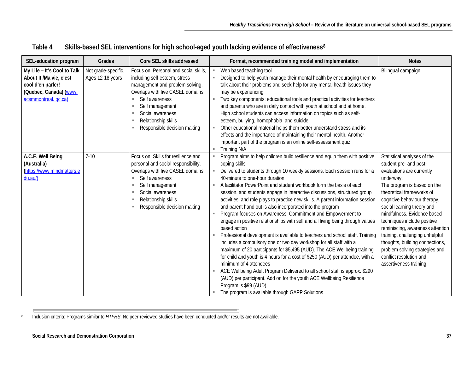| SEL-education program                                                                                                         | Grades                                  | Core SEL skills addressed                                                                                                                                                                                                                                                     | Format, recommended training model and implementation                                                                                                                                                                                                                                                                                                                                                                                                                                                                                                                                                                                                                                                                                                                                                                                                                                                                                                                                                                                                                                                                                                                                                                                                            | <b>Notes</b>                                                                                                                                                                                                                                                                                                                                                                                                                                                                              |
|-------------------------------------------------------------------------------------------------------------------------------|-----------------------------------------|-------------------------------------------------------------------------------------------------------------------------------------------------------------------------------------------------------------------------------------------------------------------------------|------------------------------------------------------------------------------------------------------------------------------------------------------------------------------------------------------------------------------------------------------------------------------------------------------------------------------------------------------------------------------------------------------------------------------------------------------------------------------------------------------------------------------------------------------------------------------------------------------------------------------------------------------------------------------------------------------------------------------------------------------------------------------------------------------------------------------------------------------------------------------------------------------------------------------------------------------------------------------------------------------------------------------------------------------------------------------------------------------------------------------------------------------------------------------------------------------------------------------------------------------------------|-------------------------------------------------------------------------------------------------------------------------------------------------------------------------------------------------------------------------------------------------------------------------------------------------------------------------------------------------------------------------------------------------------------------------------------------------------------------------------------------|
| My Life - It's Cool to Talk<br>About It /Ma vie, c'est<br>cool d'en parler!<br>(Quebec, Canada) (www.<br>acsmmontreal. qc.ca) | Not grade-specific.<br>Ages 12-18 years | Focus on: Personal and social skills,<br>including self-esteem, stress<br>management and problem solving.<br>Overlaps with five CASEL domains:<br>Self awareness<br>Self management<br>٠<br>Social awareness<br>m.<br>Relationship skills<br>٠<br>Responsible decision making | Web based teaching tool<br>×,<br>Designed to help youth manage their mental health by encouraging them to<br>talk about their problems and seek help for any mental health issues they<br>may be experiencing<br>Two key components: educational tools and practical activities for teachers<br>and parents who are in daily contact with youth at school and at home.<br>High school students can access information on topics such as self-<br>esteem, bullying, homophobia, and suicide<br>Other educational material helps them better understand stress and its<br>effects and the importance of maintaining their mental health. Another<br>important part of the program is an online self-assessment quiz<br>Training N/A<br>٠                                                                                                                                                                                                                                                                                                                                                                                                                                                                                                                           | Bilingual campaign                                                                                                                                                                                                                                                                                                                                                                                                                                                                        |
| A.C.E. Well Being<br>(Australia)<br>(https://www.mindmatters.e<br>du.au/                                                      | $7 - 10$                                | Focus on: Skills for resilience and<br>personal and social responsibility.<br>Overlaps with five CASEL domains:<br>Self awareness<br>Self management<br>Social awareness<br>m.<br>Relationship skills<br>Responsible decision making                                          | Program aims to help children build resilience and equip them with positive<br>coping skills<br>Delivered to students through 10 weekly sessions. Each session runs for a<br>40-minute to one-hour duration<br>A facilitator PowerPoint and student workbook form the basis of each<br>session, and students engage in interactive discussions, structured group<br>activities, and role plays to practice new skills. A parent information session<br>and parent hand out is also incorporated into the program<br>Program focuses on Awareness, Commitment and Empowerment to<br>engage in positive relationships with self and all living being through values<br>based action<br>Professional development is available to teachers and school staff. Training<br>includes a compulsory one or two day workshop for all staff with a<br>maximum of 20 participants for \$5,495 (AUD). The ACE Wellbeing training<br>for child and youth is 4 hours for a cost of \$250 (AUD) per attendee, with a<br>minimum of 4 attendees<br>ACE Wellbeing Adult Program Delivered to all school staff is approx. \$290<br>(AUD) per participant. Add on for the youth ACE Wellbeing Resilience<br>Program is \$99 (AUD)<br>The program is available through GAPP Solutions | Statistical analyses of the<br>student pre- and post-<br>evaluations are currently<br>underway.<br>The program is based on the<br>theoretical frameworks of<br>cognitive behaviour therapy,<br>social learning theory and<br>mindfulness. Evidence based<br>techniques include positive<br>reminiscing, awareness attention<br>training, challenging unhelpful<br>thoughts, building connections,<br>problem solving strategies and<br>conflict resolution and<br>assertiveness training. |

#### <span id="page-39-0"></span>**Table 4 Skills-based SEL interventions for high school-aged youth lacking evidence of effectiveness[8](#page-39-0)**

8 Inclusion criteria: Programs similar to HTFHS. No peer-reviewed studies have been conducted and/or results are not available.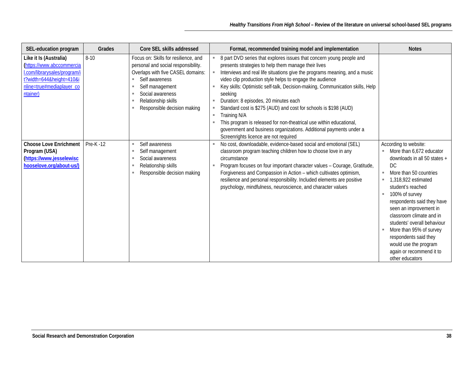| SEL-education program                                                                                                                                    | Grades          | Core SEL skills addressed                                                                                                                                                                                                                                | Format, recommended training model and implementation                                                                                                                                                                                                                                                                                                                                                                                                                                                                                                                                                                                                                                                            | <b>Notes</b>                                                                                                                                                                                                                                                                                                                                                                                                                             |
|----------------------------------------------------------------------------------------------------------------------------------------------------------|-----------------|----------------------------------------------------------------------------------------------------------------------------------------------------------------------------------------------------------------------------------------------------------|------------------------------------------------------------------------------------------------------------------------------------------------------------------------------------------------------------------------------------------------------------------------------------------------------------------------------------------------------------------------------------------------------------------------------------------------------------------------------------------------------------------------------------------------------------------------------------------------------------------------------------------------------------------------------------------------------------------|------------------------------------------------------------------------------------------------------------------------------------------------------------------------------------------------------------------------------------------------------------------------------------------------------------------------------------------------------------------------------------------------------------------------------------------|
| Like it Is (Australia)<br>(https://www.abccommercia<br>I.com/librarysales/program/i<br>t?width=644&height=410&i<br>nline=true#mediaplayer_co<br>ntainer) | $8 - 10$        | Focus on: Skills for resilience, and<br>personal and social responsibility.<br>Overlaps with five CASEL domains:<br>Self awareness<br>٠<br>Self management<br>٠<br>Social awareness<br>٠<br>Relationship skills<br>٠<br>Responsible decision making<br>٠ | 8 part DVD series that explores issues that concern young people and<br>presents strategies to help them manage their lives<br>Interviews and real life situations give the programs meaning, and a music<br>video clip production style helps to engage the audience<br>Key skills: Optimistic self-talk, Decision-making, Communication skills, Help<br>seeking<br>Duration: 8 episodes, 20 minutes each<br>$\blacksquare$<br>Standard cost is \$275 (AUD) and cost for schools is \$198 (AUD)<br>×<br>Training N/A<br>×<br>This program is released for non-theatrical use within educational,<br>government and business organizations. Additional payments under a<br>Screenrights licence are not required |                                                                                                                                                                                                                                                                                                                                                                                                                                          |
| <b>Choose Love Enrichment</b><br>Program (USA)<br>(https://www.jesselewisc<br>hooselove.org/about-us/)                                                   | <b>Pre-K-12</b> | Self awareness<br>٠<br>Self management<br>ш<br>Social awareness<br>٠<br>Relationship skills<br>٠<br>Responsible decision making<br>٠                                                                                                                     | No cost, downloadable, evidence-based social and emotional (SEL)<br>classroom program teaching children how to choose love in any<br>circumstance<br>Program focuses on four important character values - Courage, Gratitude,<br>Forgiveness and Compassion in Action - which cultivates optimism,<br>resilience and personal responsibility. Included elements are positive<br>psychology, mindfulness, neuroscience, and character values                                                                                                                                                                                                                                                                      | According to website:<br>More than 6,672 educator<br>downloads in all 50 states +<br>DC<br>More than 50 countries<br>٠<br>1.318.922 estimated<br>student's reached<br>100% of survey<br>٠<br>respondents said they have<br>seen an improvement in<br>classroom climate and in<br>students' overall behaviour<br>More than 95% of survey<br>respondents said they<br>would use the program<br>again or recommend it to<br>other educators |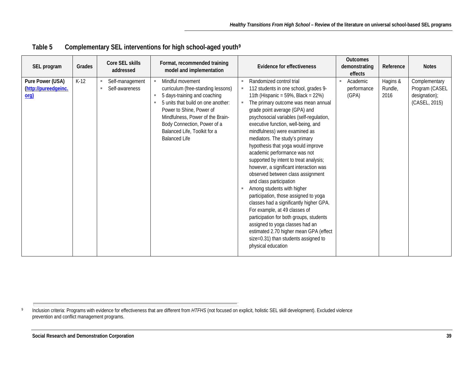| SEL program                                       | Grades |   | Core SEL skills<br>addressed      |                                | Format, recommended training<br>model and implementation                                                                                                                                                                                                                            |                                       | <b>Evidence for effectiveness</b>                                                                                                                                                                                                                                                                                                                                                                                                                                                                                                                                                                                                                                                                                                                                                                                                                                                                                | <b>Outcomes</b><br>demonstrating<br>effects | Reference                   | <b>Notes</b>                                                      |
|---------------------------------------------------|--------|---|-----------------------------------|--------------------------------|-------------------------------------------------------------------------------------------------------------------------------------------------------------------------------------------------------------------------------------------------------------------------------------|---------------------------------------|------------------------------------------------------------------------------------------------------------------------------------------------------------------------------------------------------------------------------------------------------------------------------------------------------------------------------------------------------------------------------------------------------------------------------------------------------------------------------------------------------------------------------------------------------------------------------------------------------------------------------------------------------------------------------------------------------------------------------------------------------------------------------------------------------------------------------------------------------------------------------------------------------------------|---------------------------------------------|-----------------------------|-------------------------------------------------------------------|
| Pure Power (USA)<br>(http://pureedgeinc.<br>$org$ | $K-12$ | × | Self-management<br>Self-awareness | $\mathbb{R}^n$<br>$\mathbf{m}$ | Mindful movement<br>curriculum (free-standing lessons)<br>5 days-training and coaching<br>5 units that build on one another:<br>Power to Shine, Power of<br>Mindfulness, Power of the Brain-<br>Body Connection, Power of a<br>Balanced Life, Toolkit for a<br><b>Balanced Life</b> | $\mathbb{R}^n$<br>٠<br>$\blacksquare$ | Randomized control trial<br>112 students in one school, grades 9-<br>11th (Hispanic = $59\%$ , Black = $22\%$ )<br>The primary outcome was mean annual<br>grade point average (GPA) and<br>psychosocial variables (self-regulation,<br>executive function, well-being, and<br>mindfulness) were examined as<br>mediators. The study's primary<br>hypothesis that yoga would improve<br>academic performance was not<br>supported by intent to treat analysis;<br>however, a significant interaction was<br>observed between class assignment<br>and class participation<br>Among students with higher<br>participation, those assigned to yoga<br>classes had a significantly higher GPA.<br>For example, at 49 classes of<br>participation for both groups, students<br>assigned to yoga classes had an<br>estimated 2.70 higher mean GPA (effect<br>size=0.31) than students assigned to<br>physical education | Academic<br>performance<br>(GPA)            | Hagins &<br>Rundle,<br>2016 | Complementary<br>Program (CASEL<br>designation);<br>(CASEL, 2015) |

<span id="page-41-0"></span>**Table 5 Complementary SEL interventions for high school-aged youth[9](#page-41-0)**

9 Inclusion criteria: Programs with evidence for effectiveness that are different from HTFHS (not focused on explicit, holistic SEL skill development). Excluded violence prevention and conflict management programs.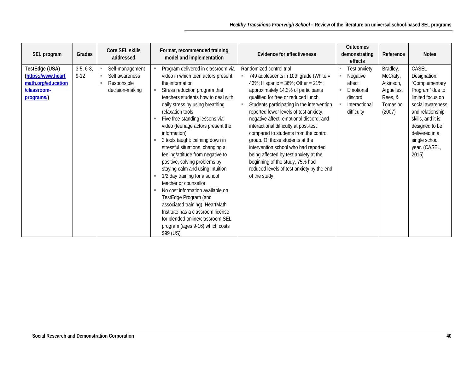| Grades<br>SEL program                                                                                             | Core SEL skills<br>addressed                                              | Format, recommended training<br>model and implementation                                                                                                                                                                                                                                                                                                                                                                                                                                                                                                                                                                                                                                                                                                                                                               | <b>Evidence for effectiveness</b>                                                                                                                                                                                                                                                                                                                                                                                                                                                                                                                                                                                                                 | <b>Outcomes</b><br>demonstrating<br>effects                                                               | Reference                                                                        | <b>Notes</b>                                                                                                                                                                                                               |
|-------------------------------------------------------------------------------------------------------------------|---------------------------------------------------------------------------|------------------------------------------------------------------------------------------------------------------------------------------------------------------------------------------------------------------------------------------------------------------------------------------------------------------------------------------------------------------------------------------------------------------------------------------------------------------------------------------------------------------------------------------------------------------------------------------------------------------------------------------------------------------------------------------------------------------------------------------------------------------------------------------------------------------------|---------------------------------------------------------------------------------------------------------------------------------------------------------------------------------------------------------------------------------------------------------------------------------------------------------------------------------------------------------------------------------------------------------------------------------------------------------------------------------------------------------------------------------------------------------------------------------------------------------------------------------------------------|-----------------------------------------------------------------------------------------------------------|----------------------------------------------------------------------------------|----------------------------------------------------------------------------------------------------------------------------------------------------------------------------------------------------------------------------|
| $3-5, 6-8,$<br>TestEdge (USA)<br>$9 - 12$<br>(https://www.heart<br>math.org/education<br>/classroom-<br>programs/ | Self-management<br>Self awareness<br>m.<br>Responsible<br>decision-making | Program delivered in classroom via<br>video in which teen actors present<br>the information<br>Stress reduction program that<br>$\blacksquare$<br>teachers students how to deal with<br>daily stress by using breathing<br>relaxation tools<br>Five free-standing lessons via<br>video (teenage actors present the<br>information)<br>3 tools taught: calming down in<br>stressful situations, changing a<br>feeling/attitude from negative to<br>positive, solving problems by<br>staying calm and using intuition<br>1/2 day training for a school<br>teacher or counsellor<br>No cost information available on<br>$\mathbf{u}$<br>TestEdge Program (and<br>associated training). HeartMath<br>Institute has a classroom license<br>for blended online/classroom SEL<br>program (ages 9-16) which costs<br>\$99 (US) | Randomized control trial<br>749 adolescents in 10th grade (White =<br>×,<br>43%; Hispanic = $36\%$ ; Other = $21\%$ ;<br>approximately 14.3% of participants<br>qualified for free or reduced lunch<br>Students participating in the intervention<br>٠<br>reported lower levels of test anxiety,<br>negative affect, emotional discord, and<br>interactional difficulty at post-test<br>compared to students from the control<br>group. Of those students at the<br>intervention school who had reported<br>being affected by test anxiety at the<br>beginning of the study, 75% had<br>reduced levels of test anxiety by the end<br>of the study | Test anxiety<br>Negative<br>$\mathbf{u}$<br>affect<br>Emotional<br>discord<br>Interactional<br>difficulty | Bradley,<br>McCraty,<br>Atkinson,<br>Arguelles,<br>Rees, &<br>Tomasino<br>(2007) | CASEL<br>Designation:<br>"Complementary<br>Program" due to<br>limited focus on<br>social awareness<br>and relationship<br>skills, and it is<br>designed to be<br>delivered in a<br>single school<br>year. (CASEL,<br>2015) |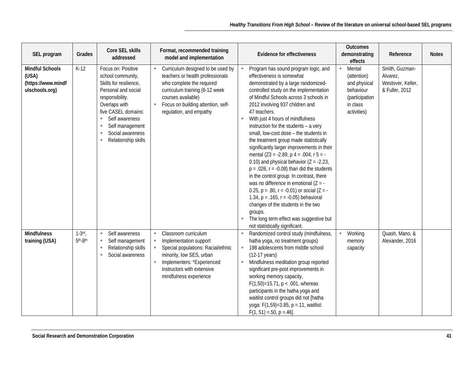| SEL program                                                             | Grades                | Core SEL skills<br>addressed                                                                                                                                                                                                                              | Format, recommended training<br>model and implementation                                                                                                                                                                    | <b>Outcomes</b><br><b>Evidence for effectiveness</b><br>demonstrating<br>Reference<br>effects                                                                                                                                                                                                                                                                                                                                                                                                                                                                                                                                                                                                                                                                                                                                                                                                                                                                                                                                                                                                                      | <b>Notes</b> |
|-------------------------------------------------------------------------|-----------------------|-----------------------------------------------------------------------------------------------------------------------------------------------------------------------------------------------------------------------------------------------------------|-----------------------------------------------------------------------------------------------------------------------------------------------------------------------------------------------------------------------------|--------------------------------------------------------------------------------------------------------------------------------------------------------------------------------------------------------------------------------------------------------------------------------------------------------------------------------------------------------------------------------------------------------------------------------------------------------------------------------------------------------------------------------------------------------------------------------------------------------------------------------------------------------------------------------------------------------------------------------------------------------------------------------------------------------------------------------------------------------------------------------------------------------------------------------------------------------------------------------------------------------------------------------------------------------------------------------------------------------------------|--------------|
| <b>Mindful Schools</b><br>(USA)<br>(https://www.mindf<br>ulschools.org) | $K-12$                | Focus on: Positive<br>school community,<br>Skills for resilience,<br>Personal and social<br>responsibility.<br>Overlaps with<br>five CASEL domains:<br>Self awareness<br>m.<br>Self management<br>ш<br>Social awareness<br>٠<br>Relationship skills<br>×. | Curriculum designed to be used by<br>teachers or health professionals<br>who complete the required<br>curriculum training (6-12 week<br>courses available)<br>Focus on building attention, self-<br>regulation, and empathy | Mental<br>Smith, Guzman-<br>Program has sound program logic, and<br>×,<br>effectiveness is somewhat<br>(attention)<br>Alvarez,<br>demonstrated by a large randomized-<br>Westover, Keller,<br>and physical<br>controlled study on the implementation<br>& Fuller, 2012<br>behaviour<br>of Mindful Schools across 3 schools in<br>(participation<br>2012 involving 937 children and<br>in class<br>47 teachers.<br>activities)<br>With just 4 hours of mindfulness<br>instruction for the students - a very<br>small, low-cost dose - the students in<br>the treatment group made statistically<br>significantly larger improvements in their<br>mental $(Z3 = -2.89, p 4 = .004, r 5 = -$<br>0.10) and physical behavior $(Z = -2.23,$<br>$p = .026$ , $r = -0.08$ ) than did the students<br>in the control group. In contrast, there<br>was no difference in emotional $(Z = -$<br>0.25, $p = .80$ , $r = -0.01$ ) or social (Z = -<br>1.34, $p = .165$ , $r = -0.05$ ) behavioral<br>changes of the students in the two<br>groups.<br>The long term effect was suggestive but<br>not statistically significant. |              |
| <b>Mindfulness</b><br>training (USA)                                    | $1-3$ rd<br>$5th-8th$ | Self awareness<br>m.<br>Self management<br>٠<br>Relationship skills<br>Social awareness<br>ш.                                                                                                                                                             | Classroom curriculum<br>Implementation support<br>Special populations: Racial/ethnic<br>minority, low SES, urban<br>Implementers: *Experienced<br>ш<br>instructors with extensive<br>mindfulness experience                 | Randomized control study (mindfulness,<br>Working<br>Quash, Mano, &<br>٠<br>hatha yoga, no treatment groups)<br>Alexander, 2016<br>memory<br>198 adolescents from middle school<br>capacity<br>(12-17 years)<br>Mindfulness meditation group reported<br>significant pre-post improvements in<br>working memory capacity,<br>$F(1,50)=15.71$ , p < .001, whereas<br>participants in the hatha yoga and<br>waitlist control groups did not [hatha<br>yoga: F(1,59)=3.85, p = .11, waitlist:<br>$F(1, 51) = .50$ , $p = .46$ .                                                                                                                                                                                                                                                                                                                                                                                                                                                                                                                                                                                       |              |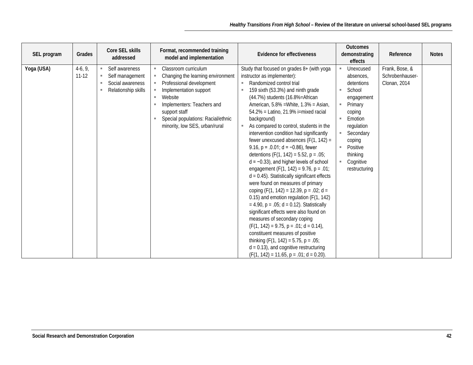| SEL program | Grades                 | Core SEL skills<br>addressed                                                      | Format, recommended training<br>model and implementation                                                                                                                                                                                          | <b>Evidence for effectiveness</b>                                                                                                                                                                                                                                                                                                                                                                                                                                                                                                                                                                                                                                                                                                                                                                                                                                                                                                                                                                                                                                                                                                               | <b>Outcomes</b><br>demonstrating<br>effects                                                                                                                                                                       | Reference                                         | <b>Notes</b> |
|-------------|------------------------|-----------------------------------------------------------------------------------|---------------------------------------------------------------------------------------------------------------------------------------------------------------------------------------------------------------------------------------------------|-------------------------------------------------------------------------------------------------------------------------------------------------------------------------------------------------------------------------------------------------------------------------------------------------------------------------------------------------------------------------------------------------------------------------------------------------------------------------------------------------------------------------------------------------------------------------------------------------------------------------------------------------------------------------------------------------------------------------------------------------------------------------------------------------------------------------------------------------------------------------------------------------------------------------------------------------------------------------------------------------------------------------------------------------------------------------------------------------------------------------------------------------|-------------------------------------------------------------------------------------------------------------------------------------------------------------------------------------------------------------------|---------------------------------------------------|--------------|
| Yoga (USA)  | $4-6, 9,$<br>$11 - 12$ | Self awareness<br>Self management<br>ш<br>Social awareness<br>Relationship skills | Classroom curriculum<br>Changing the learning environment<br>Professional development<br>Implementation support<br>Website<br>Implementers: Teachers and<br>support staff<br>Special populations: Racial/ethnic<br>minority, low SES, urban/rural | Study that focused on grades 8+ (with yoga<br>instructor as implementer):<br>Randomized control trial<br>159 sixth (53.3%) and ninth grade<br>٠<br>(44.7%) students (16.8%=African<br>American, 5.8% = White, 1.3% = Asian,<br>$54.2\%$ = Latino, 21.9% i=mixed racial<br>background)<br>As compared to control, students in the<br>٠<br>intervention condition had significantly<br>fewer unexcused absences ( $F(1, 142) =$<br>9.16, $p = .0.01$ ; $d = -0.86$ ), fewer<br>detentions $(F(1, 142) = 5.52, p = .05)$<br>$d = -0.33$ ), and higher levels of school<br>engagement (F(1, 142) = 9.76, $p = .01$ ;<br>$d = 0.45$ ). Statistically significant effects<br>were found on measures of primary<br>coping (F(1, 142) = 12.39, p = .02; d =<br>0.15) and emotion regulation (F(1, 142)<br>$= 4.90$ , $p = .05$ ; d = 0.12). Statistically<br>significant effects were also found on<br>measures of secondary coping<br>$(F(1, 142) = 9.75, p = .01; d = 0.14)$ ,<br>constituent measures of positive<br>thinking $(F(1, 142) = 5.75, p = .05)$<br>$d = 0.13$ , and cognitive restructuring<br>$(F(1, 142) = 11.65, p = .01; d = 0.20).$ | Unexcused<br>absences,<br>detentions<br>School<br>$\mathbf{u}$<br>engagement<br>Primary<br>coping<br>Emotion<br>×<br>regulation<br>Secondary<br>coping<br>Positive<br>ш<br>thinking<br>Cognitive<br>restructuring | Frank, Bose, &<br>Schrobenhauser-<br>Clonan, 2014 |              |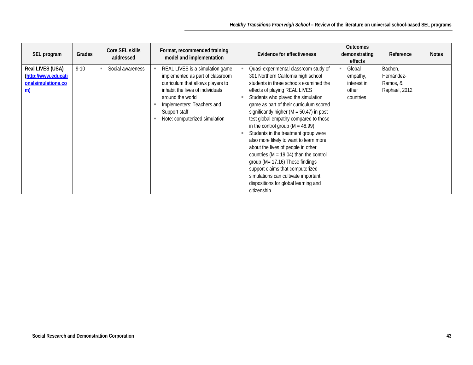| SEL program                                                                | Grades   | Core SEL skills<br>addressed | Format, recommended training<br>model and implementation                                                                                                                                                                                         | Evidence for effectiveness                                                                                                                                                                                                                                                                                                                                                                                                                                                                                                                                                                                                                                                                                                           | <b>Outcomes</b><br>demonstrating<br>effects             | Reference                                          | <b>Notes</b> |
|----------------------------------------------------------------------------|----------|------------------------------|--------------------------------------------------------------------------------------------------------------------------------------------------------------------------------------------------------------------------------------------------|--------------------------------------------------------------------------------------------------------------------------------------------------------------------------------------------------------------------------------------------------------------------------------------------------------------------------------------------------------------------------------------------------------------------------------------------------------------------------------------------------------------------------------------------------------------------------------------------------------------------------------------------------------------------------------------------------------------------------------------|---------------------------------------------------------|----------------------------------------------------|--------------|
| Real LIVES (USA)<br>(http://www.educati<br>onalsimulations.co<br><u>m)</u> | $9 - 10$ | Social awareness             | REAL LIVES is a simulation game<br>implemented as part of classroom<br>curriculum that allows players to<br>inhabit the lives of individuals<br>around the world<br>Implementers: Teachers and<br>Support staff<br>Note: computerized simulation | Quasi-experimental classroom study of<br>301 Northern California high school<br>students in three schools examined the<br>effects of playing REAL LIVES<br>Students who played the simulation<br>٠<br>game as part of their curriculum scored<br>significantly higher ( $M = 50.47$ ) in post-<br>test global empathy compared to those<br>in the control group ( $M = 48.99$ )<br>Students in the treatment group were<br>٠<br>also more likely to want to learn more<br>about the lives of people in other<br>countries ( $M = 19.04$ ) than the control<br>group ( $M = 17.16$ ) These findings<br>support claims that computerized<br>simulations can cultivate important<br>dispositions for global learning and<br>citizenship | Global<br>empathy,<br>interest in<br>other<br>countries | Bachen,<br>Hernández-<br>Ramos, &<br>Raphael, 2012 |              |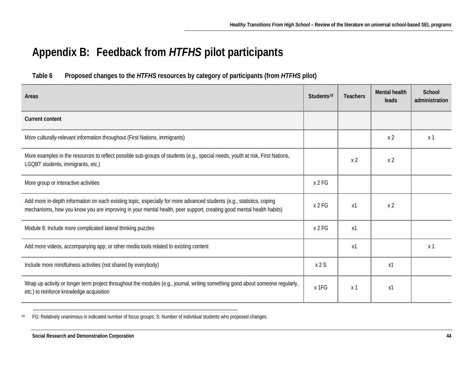# <span id="page-46-1"></span>**Appendix B: Feedback from** *HTFHS* **pilot participants**

#### **Table 6 Proposed changes to the** *HTFHS* **resources by category of participants (from** *HTFHS* **pilot)**

<span id="page-46-0"></span>

| Areas                                                                                                                                                                                                                                        | Students <sup>10</sup> | <b>Teachers</b> | <b>Mental health</b><br>leads | School<br>administration |
|----------------------------------------------------------------------------------------------------------------------------------------------------------------------------------------------------------------------------------------------|------------------------|-----------------|-------------------------------|--------------------------|
| <b>Current content</b>                                                                                                                                                                                                                       |                        |                 |                               |                          |
| More culturally-relevant information throughout (First Nations, immigrants)                                                                                                                                                                  |                        |                 | x <sub>2</sub>                | x 1                      |
| More examples in the resources to reflect possible sub-groups of students (e.g., special needs, youth at risk, First Nations,<br>LGQBT students, immigrants, etc.)                                                                           |                        | x <sub>2</sub>  | x <sub>2</sub>                |                          |
| More group or interactive activities                                                                                                                                                                                                         | x 2 FG                 |                 |                               |                          |
| Add more in-depth information on each existing topic, especially for more advanced students (e.g., statistics, coping<br>mechanisms, how you know you are improving in your mental health, peer support, creating good mental health habits) | x 2 FG                 | х1              | x <sub>2</sub>                |                          |
| Module 8: Include more complicated lateral thinking puzzles                                                                                                                                                                                  | x 2 FG                 | x1              |                               |                          |
| Add more videos, accompanying app, or other media tools related to existing content                                                                                                                                                          |                        | x1              |                               | x <sub>1</sub>           |
| Include more mindfulness activities (not shared by everybody)                                                                                                                                                                                | x 2S                   |                 | x1                            |                          |
| Wrap up activity or longer term project throughout the modules (e.g., journal, writing something good about someone regularly,<br>etc.) to reinforce knowledge acquisition                                                                   | x 1FG                  | x 1             | x1                            |                          |

10 FG: Relatively unanimous in indicated number of focus groups; S: Number of individual students who proposed changes.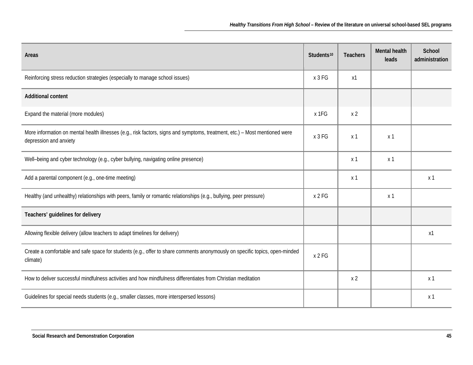| Areas                                                                                                                                                 | Students <sup>10</sup> | <b>Teachers</b> | Mental health<br>leads | School<br>administration |
|-------------------------------------------------------------------------------------------------------------------------------------------------------|------------------------|-----------------|------------------------|--------------------------|
| Reinforcing stress reduction strategies (especially to manage school issues)                                                                          | x 3 FG                 | x1              |                        |                          |
| <b>Additional content</b>                                                                                                                             |                        |                 |                        |                          |
| Expand the material (more modules)                                                                                                                    | x 1FG                  | x <sub>2</sub>  |                        |                          |
| More information on mental health illnesses (e.g., risk factors, signs and symptoms, treatment, etc.) - Most mentioned were<br>depression and anxiety | x 3 FG                 | x <sub>1</sub>  | x <sub>1</sub>         |                          |
| Well-being and cyber technology (e.g., cyber bullying, navigating online presence)                                                                    |                        | x 1             | x <sub>1</sub>         |                          |
| Add a parental component (e.g., one-time meeting)                                                                                                     |                        | x <sub>1</sub>  |                        | x <sub>1</sub>           |
| Healthy (and unhealthy) relationships with peers, family or romantic relationships (e.g., bullying, peer pressure)                                    | x 2 FG                 |                 | x 1                    |                          |
| Teachers' guidelines for delivery                                                                                                                     |                        |                 |                        |                          |
| Allowing flexible delivery (allow teachers to adapt timelines for delivery)                                                                           |                        |                 |                        | x1                       |
| Create a comfortable and safe space for students (e.g., offer to share comments anonymously on specific topics, open-minded<br>climate)               | x 2 FG                 |                 |                        |                          |
| How to deliver successful mindfulness activities and how mindfulness differentiates from Christian meditation                                         |                        | x <sub>2</sub>  |                        | x <sub>1</sub>           |
| Guidelines for special needs students (e.g., smaller classes, more interspersed lessons)                                                              |                        |                 |                        | x <sub>1</sub>           |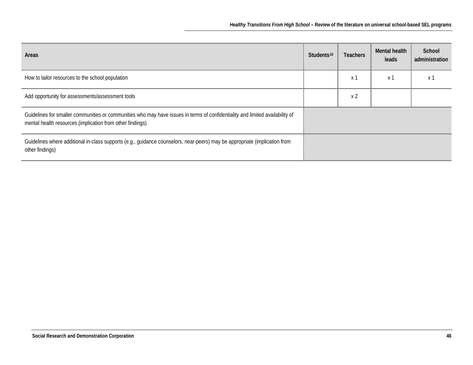| Areas                                                                                                                                                                                      | Students <sup>10</sup> | <b>Teachers</b> | Mental health<br>leads | School<br>administration |
|--------------------------------------------------------------------------------------------------------------------------------------------------------------------------------------------|------------------------|-----------------|------------------------|--------------------------|
| How to tailor resources to the school population                                                                                                                                           |                        | x 1             | x 1                    | x 1                      |
| Add opportunity for assessments/assessment tools                                                                                                                                           |                        | x <sub>2</sub>  |                        |                          |
| Guidelines for smaller communities or communities who may have issues in terms of confidentiality and limited availability of<br>mental health resources (implication from other findings) |                        |                 |                        |                          |
| Guidelines where additional in-class supports (e.g., guidance counselors, near-peers) may be appropriate (implication from<br>other findings)                                              |                        |                 |                        |                          |